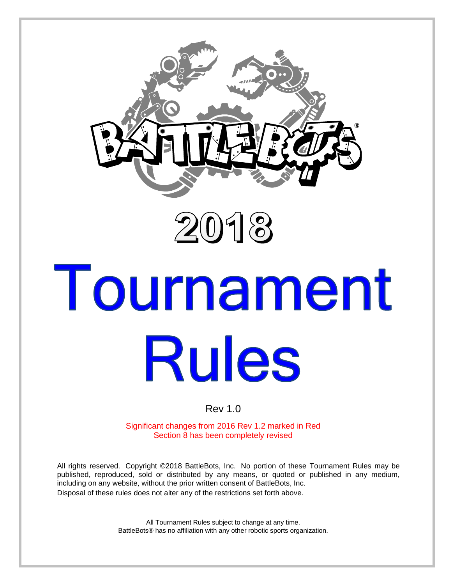



# Tournament **Rules**

# Rev 1.0

Significant changes from 2016 Rev 1.2 marked in Red Section 8 has been completely revised

All rights reserved. Copyright ©2018 BattleBots, Inc. No portion of these Tournament Rules may be published, reproduced, sold or distributed by any means, or quoted or published in any medium, including on any website, without the prior written consent of BattleBots, Inc. Disposal of these rules does not alter any of the restrictions set forth above.

> All Tournament Rules subject to change at any time. BattleBots® has no affiliation with any other robotic sports organization.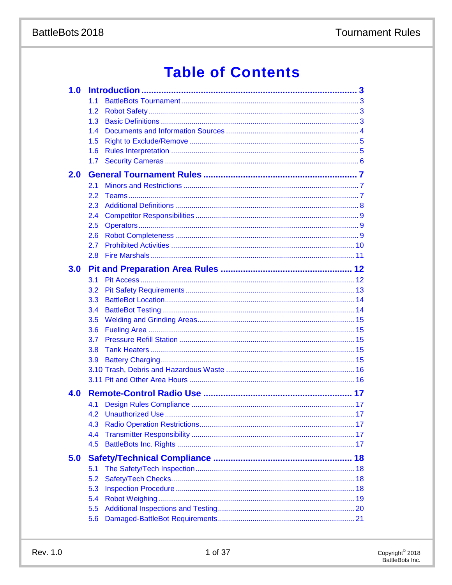# **Table of Contents**

| 1.0 |     |  |
|-----|-----|--|
|     | 1.1 |  |
|     | 1.2 |  |
|     | 1.3 |  |
|     | 1.4 |  |
|     | 1.5 |  |
|     | 1.6 |  |
|     | 1.7 |  |
| 2.0 |     |  |
|     | 2.1 |  |
|     | 2.2 |  |
|     | 2.3 |  |
|     | 2.4 |  |
|     | 2.5 |  |
|     | 2.6 |  |
|     | 2.7 |  |
|     | 2.8 |  |
| 3.0 |     |  |
|     | 3.1 |  |
|     | 3.2 |  |
|     | 3.3 |  |
|     | 3.4 |  |
|     | 3.5 |  |
|     | 3.6 |  |
|     | 3.7 |  |
|     | 3.8 |  |
|     | 3.9 |  |
|     |     |  |
|     |     |  |
|     |     |  |
| 4.0 |     |  |
|     | 4.1 |  |
|     |     |  |
|     | 4.3 |  |
|     | 4.4 |  |
|     | 4.5 |  |
| 5.0 |     |  |
|     | 5.1 |  |
|     | 5.2 |  |
|     | 5.3 |  |
|     | 5.4 |  |
|     | 5.5 |  |
|     | 5.6 |  |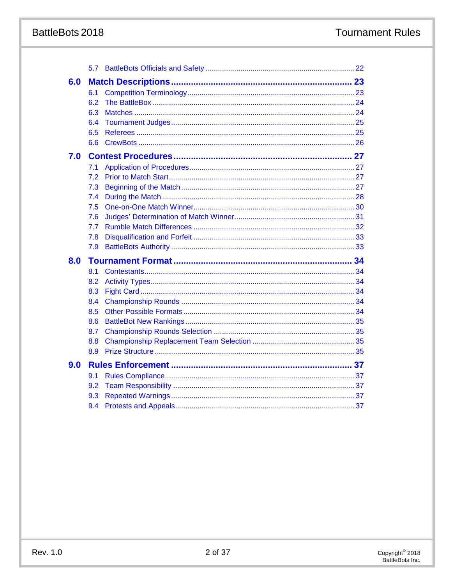# BattleBots 2018

|     | 5.7 |  |
|-----|-----|--|
| 6.0 |     |  |
|     | 6.1 |  |
|     | 6.2 |  |
|     | 6.3 |  |
|     | 6.4 |  |
|     | 6.5 |  |
|     | 6.6 |  |
| 7.0 |     |  |
|     | 7.1 |  |
|     | 7.2 |  |
|     | 7.3 |  |
|     | 7.4 |  |
|     | 7.5 |  |
|     | 7.6 |  |
|     | 7.7 |  |
|     | 7.8 |  |
|     | 7.9 |  |
| 8.0 |     |  |
|     | 8.1 |  |
|     | 8.2 |  |
|     | 8.3 |  |
|     | 8.4 |  |
|     | 8.5 |  |
|     | 8.6 |  |
|     | 8.7 |  |
|     | 8.8 |  |
|     | 8.9 |  |
| 9.0 |     |  |
|     | 9.1 |  |
|     | 9.2 |  |
|     | 9.3 |  |
|     | 9.4 |  |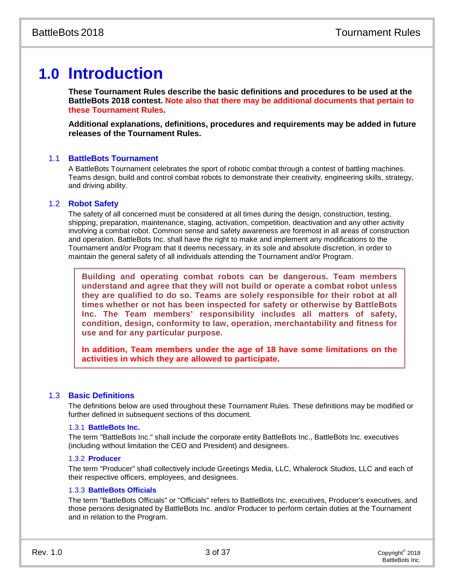# **1.0 Introduction**

**These Tournament Rules describe the basic definitions and procedures to be used at the BattleBots 2018 contest. Note also that there may be additional documents that pertain to these Tournament Rules.**

**Additional explanations, definitions, procedures and requirements may be added in future releases of the Tournament Rules.**

# 1.1 **BattleBots Tournament**

A BattleBots Tournament celebrates the sport of robotic combat through a contest of battling machines. Teams design, build and control combat robots to demonstrate their creativity, engineering skills, strategy, and driving ability.

# 1.2 **Robot Safety**

The safety of all concerned must be considered at all times during the design, construction, testing, shipping, preparation, maintenance, staging, activation, competition, deactivation and any other activity involving a combat robot. Common sense and safety awareness are foremost in all areas of construction and operation. BattleBots Inc. shall have the right to make and implement any modifications to the Tournament and/or Program that it deems necessary, in its sole and absolute discretion, in order to maintain the general safety of all individuals attending the Tournament and/or Program.

**Building and operating combat robots can be dangerous. Team members understand and agree that they will not build or operate a combat robot unless they are qualified to do so. Teams are solely responsible for their robot at all times whether or not has been inspected for safety or otherwise by BattleBots Inc. The Team members' responsibility includes all matters of safety, condition, design, conformity to law, operation, merchantability and fitness for use and for any particular purpose.**

**In addition, Team members under the age of 18 have some limitations on the activities in which they are allowed to participate.**

# 1.3 **Basic Definitions**

The definitions below are used throughout these Tournament Rules. These definitions may be modified or further defined in subsequent sections of this document.

# 1.3.1 **BattleBots Inc.**

The term "BattleBots Inc." shall include the corporate entity BattleBots Inc., BattleBots Inc. executives (including without limitation the CEO and President) and designees.

# 1.3.2 **Producer**

The term "Producer" shall collectively include Greetings Media, LLC, Whalerock Studios, LLC and each of their respective officers, employees, and designees.

# 1.3.3 **BattleBots Officials**

The term "BattleBots Officials" or "Officials" refers to BattleBots Inc. executives, Producer's executives, and those persons designated by BattleBots Inc. and/or Producer to perform certain duties at the Tournament and in relation to the Program.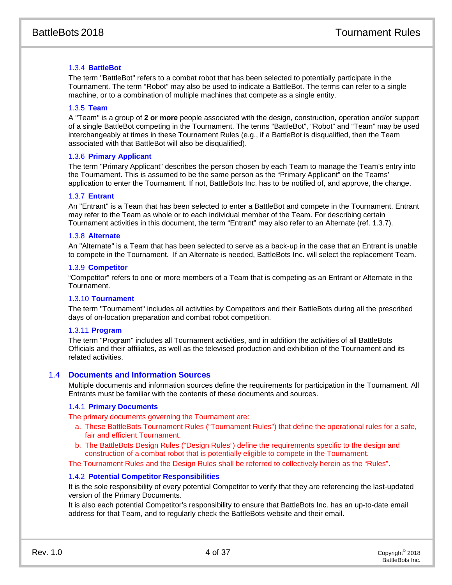# 1.3.4 **BattleBot**

The term "BattleBot" refers to a combat robot that has been selected to potentially participate in the Tournament. The term "Robot" may also be used to indicate a BattleBot. The terms can refer to a single machine, or to a combination of multiple machines that compete as a single entity.

# 1.3.5 **Team**

A "Team" is a group of **2 or more** people associated with the design, construction, operation and/or support of a single BattleBot competing in the Tournament. The terms "BattleBot", "Robot" and "Team" may be used interchangeably at times in these Tournament Rules (e.g., if a BattleBot is disqualified, then the Team associated with that BattleBot will also be disqualified).

# 1.3.6 **Primary Applicant**

The term "Primary Applicant" describes the person chosen by each Team to manage the Team's entry into the Tournament. This is assumed to be the same person as the "Primary Applicant" on the Teams' application to enter the Tournament. If not, BattleBots Inc. has to be notified of, and approve, the change.

# 1.3.7 **Entrant**

An "Entrant" is a Team that has been selected to enter a BattleBot and compete in the Tournament. Entrant may refer to the Team as whole or to each individual member of the Team. For describing certain Tournament activities in this document, the term "Entrant" may also refer to an Alternate (ref. 1.3.7).

# 1.3.8 **Alternate**

An "Alternate" is a Team that has been selected to serve as a back-up in the case that an Entrant is unable to compete in the Tournament. If an Alternate is needed, BattleBots Inc. will select the replacement Team.

#### 1.3.9 **Competitor**

"Competitor" refers to one or more members of a Team that is competing as an Entrant or Alternate in the Tournament.

# 1.3.10 **Tournament**

The term "Tournament" includes all activities by Competitors and their BattleBots during all the prescribed days of on-location preparation and combat robot competition.

# 1.3.11 **Program**

The term "Program" includes all Tournament activities, and in addition the activities of all BattleBots Officials and their affiliates, as well as the televised production and exhibition of the Tournament and its related activities.

# 1.4 **Documents and Information Sources**

Multiple documents and information sources define the requirements for participation in the Tournament. All Entrants must be familiar with the contents of these documents and sources.

# 1.4.1 **Primary Documents**

The primary documents governing the Tournament are:

- a. These BattleBots Tournament Rules ("Tournament Rules") that define the operational rules for a safe, fair and efficient Tournament.
- b. The BattleBots Design Rules ("Design Rules") define the requirements specific to the design and construction of a combat robot that is potentially eligible to compete in the Tournament.

The Tournament Rules and the Design Rules shall be referred to collectively herein as the "Rules".

# 1.4.2 **Potential Competitor Responsibilities**

It is the sole responsibility of every potential Competitor to verify that they are referencing the last-updated version of the Primary Documents.

It is also each potential Competitor's responsibility to ensure that BattleBots Inc. has an up-to-date email address for that Team, and to regularly check the BattleBots website and their email.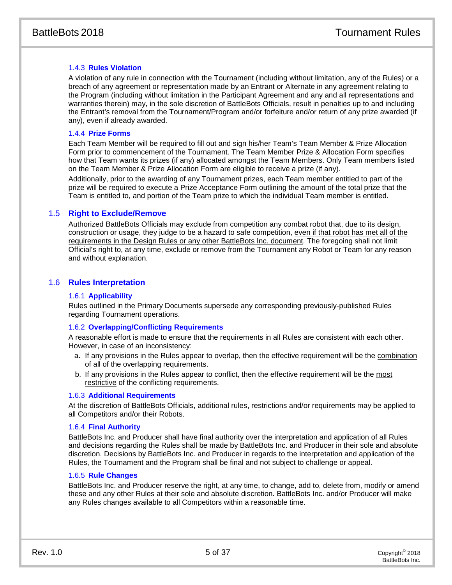# 1.4.3 **Rules Violation**

A violation of any rule in connection with the Tournament (including without limitation, any of the Rules) or a breach of any agreement or representation made by an Entrant or Alternate in any agreement relating to the Program (including without limitation in the Participant Agreement and any and all representations and warranties therein) may, in the sole discretion of BattleBots Officials, result in penalties up to and including the Entrant's removal from the Tournament/Program and/or forfeiture and/or return of any prize awarded (if any), even if already awarded.

# 1.4.4 **Prize Forms**

Each Team Member will be required to fill out and sign his/her Team's Team Member & Prize Allocation Form prior to commencement of the Tournament. The Team Member Prize & Allocation Form specifies how that Team wants its prizes (if any) allocated amongst the Team Members. Only Team members listed on the Team Member & Prize Allocation Form are eligible to receive a prize (if any).

Additionally, prior to the awarding of any Tournament prizes, each Team member entitled to part of the prize will be required to execute a Prize Acceptance Form outlining the amount of the total prize that the Team is entitled to, and portion of the Team prize to which the individual Team member is entitled.

# 1.5 **Right to Exclude/Remove**

Authorized BattleBots Officials may exclude from competition any combat robot that, due to its design, construction or usage, they judge to be a hazard to safe competition, even if that robot has met all of the requirements in the Design Rules or any other BattleBots Inc. document. The foregoing shall not limit Official's right to, at any time, exclude or remove from the Tournament any Robot or Team for any reason and without explanation.

# 1.6 **Rules Interpretation**

# 1.6.1 **Applicability**

Rules outlined in the Primary Documents supersede any corresponding previously-published Rules regarding Tournament operations.

# 1.6.2 **Overlapping/Conflicting Requirements**

A reasonable effort is made to ensure that the requirements in all Rules are consistent with each other. However, in case of an inconsistency:

- a. If any provisions in the Rules appear to overlap, then the effective requirement will be the combination of all of the overlapping requirements.
- b. If any provisions in the Rules appear to conflict, then the effective requirement will be the most restrictive of the conflicting requirements.

# 1.6.3 **Additional Requirements**

At the discretion of BattleBots Officials, additional rules, restrictions and/or requirements may be applied to all Competitors and/or their Robots.

# 1.6.4 **Final Authority**

BattleBots Inc. and Producer shall have final authority over the interpretation and application of all Rules and decisions regarding the Rules shall be made by BattleBots Inc. and Producer in their sole and absolute discretion. Decisions by BattleBots Inc. and Producer in regards to the interpretation and application of the Rules, the Tournament and the Program shall be final and not subject to challenge or appeal.

# 1.6.5 **Rule Changes**

BattleBots Inc. and Producer reserve the right, at any time, to change, add to, delete from, modify or amend these and any other Rules at their sole and absolute discretion. BattleBots Inc. and/or Producer will make any Rules changes available to all Competitors within a reasonable time.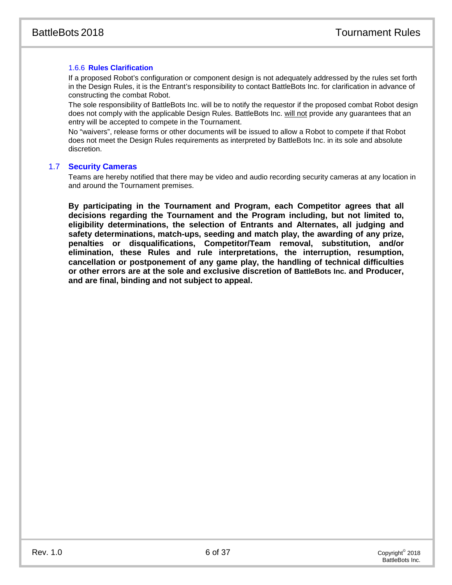# 1.6.6 **Rules Clarification**

If a proposed Robot's configuration or component design is not adequately addressed by the rules set forth in the Design Rules, it is the Entrant's responsibility to contact BattleBots Inc. for clarification in advance of constructing the combat Robot.

The sole responsibility of BattleBots Inc. will be to notify the requestor if the proposed combat Robot design does not comply with the applicable Design Rules. BattleBots Inc. will not provide any guarantees that an entry will be accepted to compete in the Tournament.

No "waivers", release forms or other documents will be issued to allow a Robot to compete if that Robot does not meet the Design Rules requirements as interpreted by BattleBots Inc. in its sole and absolute discretion.

# 1.7 **Security Cameras**

Teams are hereby notified that there may be video and audio recording security cameras at any location in and around the Tournament premises.

**By participating in the Tournament and Program, each Competitor agrees that all decisions regarding the Tournament and the Program including, but not limited to, eligibility determinations, the selection of Entrants and Alternates, all judging and safety determinations, match-ups, seeding and match play, the awarding of any prize, penalties or disqualifications, Competitor/Team removal, substitution, and/or elimination, these Rules and rule interpretations, the interruption, resumption, cancellation or postponement of any game play, the handling of technical difficulties or other errors are at the sole and exclusive discretion of BattleBots Inc. and Producer, and are final, binding and not subject to appeal.**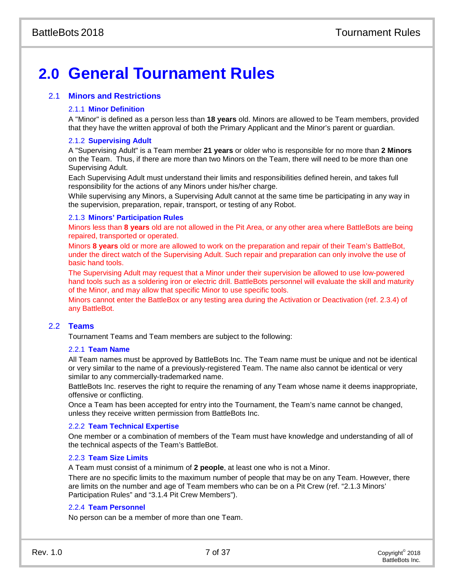# **2.0 General Tournament Rules**

# 2.1 **Minors and Restrictions**

# 2.1.1 **Minor Definition**

A "Minor" is defined as a person less than **18 years** old. Minors are allowed to be Team members, provided that they have the written approval of both the Primary Applicant and the Minor's parent or guardian.

# 2.1.2 **Supervising Adult**

A "Supervising Adult" is a Team member **21 years** or older who is responsible for no more than **2 Minors** on the Team. Thus, if there are more than two Minors on the Team, there will need to be more than one Supervising Adult.

Each Supervising Adult must understand their limits and responsibilities defined herein, and takes full responsibility for the actions of any Minors under his/her charge.

While supervising any Minors, a Supervising Adult cannot at the same time be participating in any way in the supervision, preparation, repair, transport, or testing of any Robot.

# 2.1.3 **Minors' Participation Rules**

Minors less than **8 years** old are not allowed in the Pit Area, or any other area where BattleBots are being repaired, transported or operated.

Minors **8 years** old or more are allowed to work on the preparation and repair of their Team's BattleBot, under the direct watch of the Supervising Adult. Such repair and preparation can only involve the use of basic hand tools.

The Supervising Adult may request that a Minor under their supervision be allowed to use low-powered hand tools such as a soldering iron or electric drill. BattleBots personnel will evaluate the skill and maturity of the Minor, and may allow that specific Minor to use specific tools.

Minors cannot enter the BattleBox or any testing area during the Activation or Deactivation (ref. 2.3.4) of any BattleBot.

# 2.2 **Teams**

Tournament Teams and Team members are subject to the following:

# 2.2.1 **Team Name**

All Team names must be approved by BattleBots Inc. The Team name must be unique and not be identical or very similar to the name of a previously-registered Team. The name also cannot be identical or very similar to any commercially-trademarked name.

BattleBots Inc. reserves the right to require the renaming of any Team whose name it deems inappropriate, offensive or conflicting.

Once a Team has been accepted for entry into the Tournament, the Team's name cannot be changed, unless they receive written permission from BattleBots Inc.

# 2.2.2 **Team Technical Expertise**

One member or a combination of members of the Team must have knowledge and understanding of all of the technical aspects of the Team's BattleBot.

# 2.2.3 **Team Size Limits**

A Team must consist of a minimum of **2 people**, at least one who is not a Minor.

There are no specific limits to the maximum number of people that may be on any Team. However, there are limits on the number and age of Team members who can be on a Pit Crew (ref. "2.1.3 Minors' Participation Rules" and ["3.1.4](#page-12-0) [Pit Crew Members"](#page-12-0)).

# 2.2.4 **Team Personnel**

No person can be a member of more than one Team.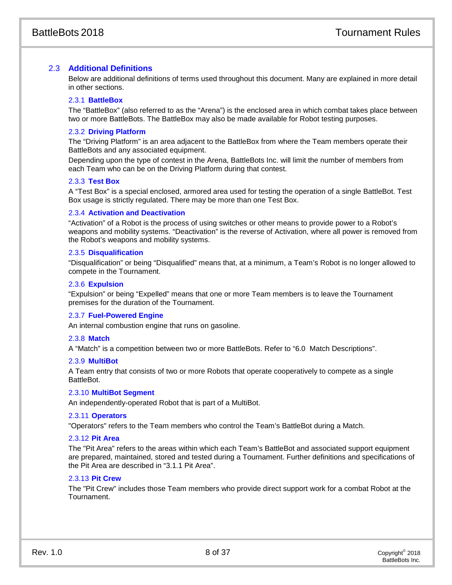# 2.3 **Additional Definitions**

Below are additional definitions of terms used throughout this document. Many are explained in more detail in other sections.

# 2.3.1 **BattleBox**

The "BattleBox" (also referred to as the "Arena") is the enclosed area in which combat takes place between two or more BattleBots. The BattleBox may also be made available for Robot testing purposes.

# 2.3.2 **Driving Platform**

The "Driving Platform" is an area adjacent to the BattleBox from where the Team members operate their BattleBots and any associated equipment.

Depending upon the type of contest in the Arena, BattleBots Inc. will limit the number of members from each Team who can be on the Driving Platform during that contest.

# 2.3.3 **Test Box**

A "Test Box" is a special enclosed, armored area used for testing the operation of a single BattleBot. Test Box usage is strictly regulated. There may be more than one Test Box.

# 2.3.4 **Activation and Deactivation**

"Activation" of a Robot is the process of using switches or other means to provide power to a Robot's weapons and mobility systems. "Deactivation" is the reverse of Activation, where all power is removed from the Robot's weapons and mobility systems.

# 2.3.5 **Disqualification**

"Disqualification" or being "Disqualified" means that, at a minimum, a Team's Robot is no longer allowed to compete in the Tournament.

# 2.3.6 **Expulsion**

"Expulsion" or being "Expelled" means that one or more Team members is to leave the Tournament premises for the duration of the Tournament.

# 2.3.7 **Fuel-Powered Engine**

An internal combustion engine that runs on gasoline.

# 2.3.8 **Match**

A "Match" is a competition between two or more BattleBots. Refer to "6.0 Match Descriptions".

# 2.3.9 **MultiBot**

A Team entry that consists of two or more Robots that operate cooperatively to compete as a single BattleBot.

# 2.3.10 **MultiBot Segment**

An independently-operated Robot that is part of a MultiBot.

# 2.3.11 **Operators**

"Operators" refers to the Team members who control the Team's BattleBot during a Match.

# 2.3.12 **Pit Area**

The "Pit Area" refers to the areas within which each Team's BattleBot and associated support equipment are prepared, maintained, stored and tested during a Tournament. Further definitions and specifications of the Pit Area are described in "3.1.1 Pit Area".

# 2.3.13 **Pit Crew**

The "Pit Crew" includes those Team members who provide direct support work for a combat Robot at the Tournament.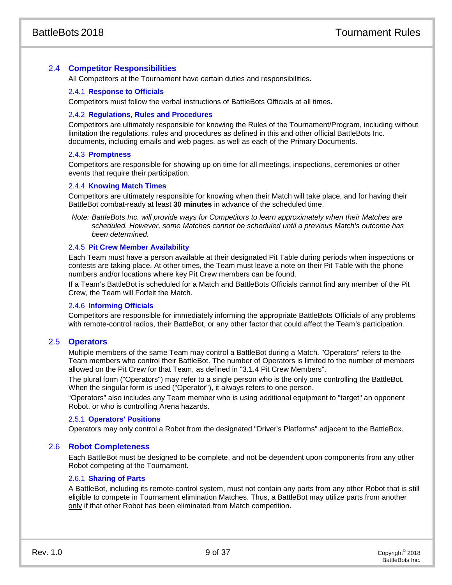# 2.4 **Competitor Responsibilities**

All Competitors at the Tournament have certain duties and responsibilities.

# 2.4.1 **Response to Officials**

Competitors must follow the verbal instructions of BattleBots Officials at all times.

# 2.4.2 **Regulations, Rules and Procedures**

Competitors are ultimately responsible for knowing the Rules of the Tournament/Program, including without limitation the regulations, rules and procedures as defined in this and other official BattleBots Inc. documents, including emails and web pages, as well as each of the Primary Documents.

# 2.4.3 **Promptness**

Competitors are responsible for showing up on time for all meetings, inspections, ceremonies or other events that require their participation.

# 2.4.4 **Knowing Match Times**

Competitors are ultimately responsible for knowing when their Match will take place, and for having their BattleBot combat-ready at least **30 minutes** in advance of the scheduled time.

*Note: BattleBots Inc. will provide ways for Competitors to learn approximately when their Matches are scheduled. However, some Matches cannot be scheduled until a previous Match's outcome has been determined.*

# 2.4.5 **Pit Crew Member Availability**

Each Team must have a person available at their designated Pit Table during periods when inspections or contests are taking place. At other times, the Team must leave a note on their Pit Table with the phone numbers and/or locations where key Pit Crew members can be found.

If a Team's BattleBot is scheduled for a Match and BattleBots Officials cannot find any member of the Pit Crew, the Team will Forfeit the Match.

# 2.4.6 **Informing Officials**

Competitors are responsible for immediately informing the appropriate BattleBots Officials of any problems with remote-control radios, their BattleBot, or any other factor that could affect the Team's participation.

# 2.5 **Operators**

Multiple members of the same Team may control a BattleBot during a Match. "Operators" refers to the Team members who control their BattleBot. The number of Operators is limited to the number of members allowed on the Pit Crew for that Team, as defined in ["3.1.4](#page-12-0) [Pit Crew Members"](#page-12-0).

The plural form ("Operators") may refer to a single person who is the only one controlling the BattleBot. When the singular form is used ("Operator"), it always refers to one person.

"Operators" also includes any Team member who is using additional equipment to "target" an opponent Robot, or who is controlling Arena hazards.

# 2.5.1 **Operators' Positions**

Operators may only control a Robot from the designated "Driver's Platforms" adjacent to the BattleBox.

# 2.6 **Robot Completeness**

Each BattleBot must be designed to be complete, and not be dependent upon components from any other Robot competing at the Tournament.

# 2.6.1 **Sharing of Parts**

A BattleBot, including its remote-control system, must not contain any parts from any other Robot that is still eligible to compete in Tournament elimination Matches. Thus, a BattleBot may utilize parts from another only if that other Robot has been eliminated from Match competition.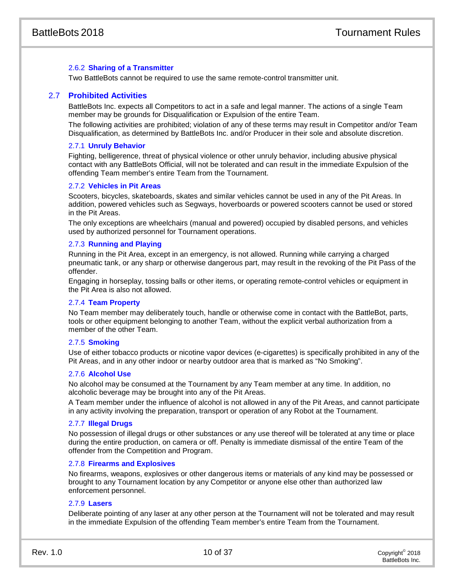# 2.6.2 **Sharing of a Transmitter**

Two BattleBots cannot be required to use the same remote-control transmitter unit.

# 2.7 **Prohibited Activities**

BattleBots Inc. expects all Competitors to act in a safe and legal manner. The actions of a single Team member may be grounds for Disqualification or Expulsion of the entire Team.

The following activities are prohibited; violation of any of these terms may result in Competitor and/or Team Disqualification, as determined by BattleBots Inc. and/or Producer in their sole and absolute discretion.

#### 2.7.1 **Unruly Behavior**

Fighting, belligerence, threat of physical violence or other unruly behavior, including abusive physical contact with any BattleBots Official, will not be tolerated and can result in the immediate Expulsion of the offending Team member's entire Team from the Tournament.

#### 2.7.2 **Vehicles in Pit Areas**

Scooters, bicycles, skateboards, skates and similar vehicles cannot be used in any of the Pit Areas. In addition, powered vehicles such as Segways, hoverboards or powered scooters cannot be used or stored in the Pit Areas.

The only exceptions are wheelchairs (manual and powered) occupied by disabled persons, and vehicles used by authorized personnel for Tournament operations.

# 2.7.3 **Running and Playing**

Running in the Pit Area, except in an emergency, is not allowed. Running while carrying a charged pneumatic tank, or any sharp or otherwise dangerous part, may result in the revoking of the Pit Pass of the offender.

Engaging in horseplay, tossing balls or other items, or operating remote-control vehicles or equipment in the Pit Area is also not allowed.

# 2.7.4 **Team Property**

No Team member may deliberately touch, handle or otherwise come in contact with the BattleBot, parts, tools or other equipment belonging to another Team, without the explicit verbal authorization from a member of the other Team.

# 2.7.5 **Smoking**

Use of either tobacco products or nicotine vapor devices (e-cigarettes) is specifically prohibited in any of the Pit Areas, and in any other indoor or nearby outdoor area that is marked as "No Smoking".

# 2.7.6 **Alcohol Use**

No alcohol may be consumed at the Tournament by any Team member at any time. In addition, no alcoholic beverage may be brought into any of the Pit Areas.

A Team member under the influence of alcohol is not allowed in any of the Pit Areas, and cannot participate in any activity involving the preparation, transport or operation of any Robot at the Tournament.

## 2.7.7 **Illegal Drugs**

No possession of illegal drugs or other substances or any use thereof will be tolerated at any time or place during the entire production, on camera or off. Penalty is immediate dismissal of the entire Team of the offender from the Competition and Program.

# 2.7.8 **Firearms and Explosives**

No firearms, weapons, explosives or other dangerous items or materials of any kind may be possessed or brought to any Tournament location by any Competitor or anyone else other than authorized law enforcement personnel.

#### 2.7.9 **Lasers**

Deliberate pointing of any laser at any other person at the Tournament will not be tolerated and may result in the immediate Expulsion of the offending Team member's entire Team from the Tournament.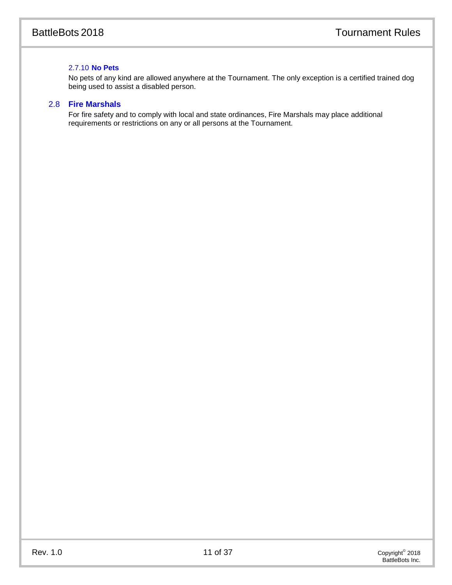# 2.7.10 **No Pets**

No pets of any kind are allowed anywhere at the Tournament. The only exception is a certified trained dog being used to assist a disabled person.

# 2.8 **Fire Marshals**

For fire safety and to comply with local and state ordinances, Fire Marshals may place additional requirements or restrictions on any or all persons at the Tournament.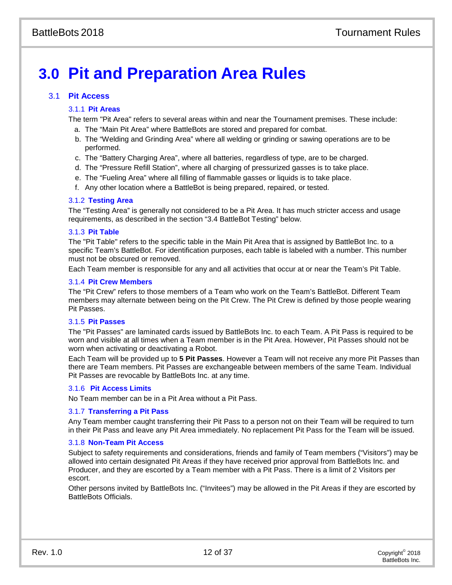# **3.0 Pit and Preparation Area Rules**

# 3.1 **Pit Access**

# 3.1.1 **Pit Areas**

The term "Pit Area" refers to several areas within and near the Tournament premises. These include:

- a. The "Main Pit Area" where BattleBots are stored and prepared for combat.
- b. The "Welding and Grinding Area" where all welding or grinding or sawing operations are to be performed.
- c. The "Battery Charging Area", where all batteries, regardless of type, are to be charged.
- d. The "Pressure Refill Station", where all charging of pressurized gasses is to take place.
- e. The "Fueling Area" where all filling of flammable gasses or liquids is to take place.
- f. Any other location where a BattleBot is being prepared, repaired, or tested.

# 3.1.2 **Testing Area**

The "Testing Area" is generally not considered to be a Pit Area. It has much stricter access and usage requirements, as described in the section "3.4 BattleBot Testing" below.

# 3.1.3 **Pit Table**

The "Pit Table" refers to the specific table in the Main Pit Area that is assigned by BattleBot Inc. to a specific Team's BattleBot. For identification purposes, each table is labeled with a number. This number must not be obscured or removed.

<span id="page-12-0"></span>Each Team member is responsible for any and all activities that occur at or near the Team's Pit Table.

# 3.1.4 **Pit Crew Members**

The "Pit Crew" refers to those members of a Team who work on the Team's BattleBot. Different Team members may alternate between being on the Pit Crew. The Pit Crew is defined by those people wearing Pit Passes.

# 3.1.5 **Pit Passes**

The "Pit Passes" are laminated cards issued by BattleBots Inc. to each Team. A Pit Pass is required to be worn and visible at all times when a Team member is in the Pit Area. However, Pit Passes should not be worn when activating or deactivating a Robot.

Each Team will be provided up to **5 Pit Passes**. However a Team will not receive any more Pit Passes than there are Team members. Pit Passes are exchangeable between members of the same Team. Individual Pit Passes are revocable by BattleBots Inc. at any time.

# 3.1.6 **Pit Access Limits**

No Team member can be in a Pit Area without a Pit Pass.

# 3.1.7 **Transferring a Pit Pass**

Any Team member caught transferring their Pit Pass to a person not on their Team will be required to turn in their Pit Pass and leave any Pit Area immediately. No replacement Pit Pass for the Team will be issued.

# 3.1.8 **Non-Team Pit Access**

Subject to safety requirements and considerations, friends and family of Team members ("Visitors") may be allowed into certain designated Pit Areas if they have received prior approval from BattleBots Inc. and Producer, and they are escorted by a Team member with a Pit Pass. There is a limit of 2 Visitors per escort.

Other persons invited by BattleBots Inc. ("Invitees") may be allowed in the Pit Areas if they are escorted by BattleBots Officials.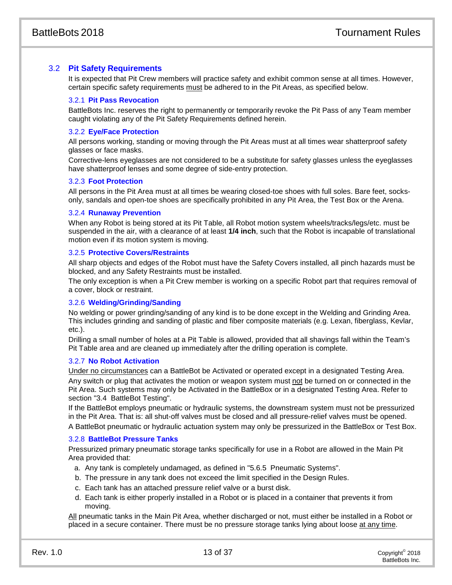# 3.2 **Pit Safety Requirements**

It is expected that Pit Crew members will practice safety and exhibit common sense at all times. However, certain specific safety requirements must be adhered to in the Pit Areas, as specified below.

# 3.2.1 **Pit Pass Revocation**

BattleBots Inc. reserves the right to permanently or temporarily revoke the Pit Pass of any Team member caught violating any of the Pit Safety Requirements defined herein.

# 3.2.2 **Eye/Face Protection**

All persons working, standing or moving through the Pit Areas must at all times wear shatterproof safety glasses or face masks.

Corrective-lens eyeglasses are not considered to be a substitute for safety glasses unless the eyeglasses have shatterproof lenses and some degree of side-entry protection.

# 3.2.3 **Foot Protection**

All persons in the Pit Area must at all times be wearing closed-toe shoes with full soles. Bare feet, socksonly, sandals and open-toe shoes are specifically prohibited in any Pit Area, the Test Box or the Arena.

# 3.2.4 **Runaway Prevention**

When any Robot is being stored at its Pit Table, all Robot motion system wheels/tracks/legs/etc. must be suspended in the air, with a clearance of at least **1/4 inch**, such that the Robot is incapable of translational motion even if its motion system is moving.

# 3.2.5 **Protective Covers/Restraints**

All sharp objects and edges of the Robot must have the Safety Covers installed, all pinch hazards must be blocked, and any Safety Restraints must be installed.

The only exception is when a Pit Crew member is working on a specific Robot part that requires removal of a cover, block or restraint.

# 3.2.6 **Welding/Grinding/Sanding**

No welding or power grinding/sanding of any kind is to be done except in the Welding and Grinding Area. This includes grinding and sanding of plastic and fiber composite materials (e.g. Lexan, fiberglass, Kevlar, etc.).

Drilling a small number of holes at a Pit Table is allowed, provided that all shavings fall within the Team's Pit Table area and are cleaned up immediately after the drilling operation is complete.

# 3.2.7 **No Robot Activation**

Under no circumstances can a BattleBot be Activated or operated except in a designated Testing Area. Any switch or plug that activates the motion or weapon system must not be turned on or connected in the Pit Area. Such systems may only be Activated in the BattleBox or in a designated Testing Area. Refer to section ["3.4 BattleBot Testing"](#page-14-0).

If the BattleBot employs pneumatic or hydraulic systems, the downstream system must not be pressurized in the Pit Area. That is: all shut-off valves must be closed and all pressure-relief valves must be opened. A BattleBot pneumatic or hydraulic actuation system may only be pressurized in the BattleBox or Test Box.

# 3.2.8 **BattleBot Pressure Tanks**

Pressurized primary pneumatic storage tanks specifically for use in a Robot are allowed in the Main Pit Area provided that:

- a. Any tank is completely undamaged, as defined in "5.6.5 Pneumatic Systems".
- b. The pressure in any tank does not exceed the limit specified in the Design Rules.
- c. Each tank has an attached pressure relief valve or a burst disk.
- d. Each tank is either properly installed in a Robot or is placed in a container that prevents it from moving.

All pneumatic tanks in the Main Pit Area, whether discharged or not, must either be installed in a Robot or placed in a secure container. There must be no pressure storage tanks lying about loose at any time.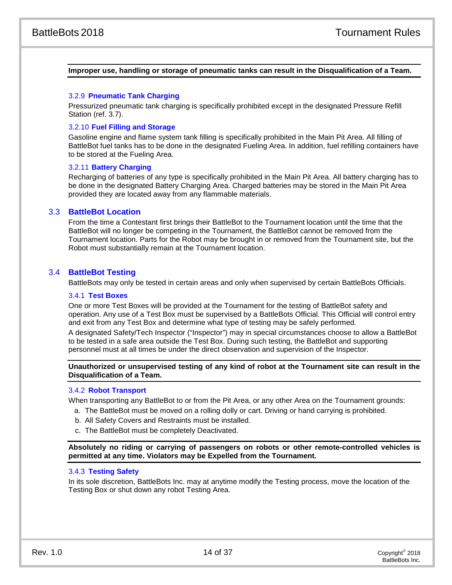# **Improper use, handling or storage of pneumatic tanks can result in the Disqualification of a Team.**

#### 3.2.9 **Pneumatic Tank Charging**

Pressurized pneumatic tank charging is specifically prohibited except in the designated Pressure Refill Station (ref. [3.7\)](#page-15-0).

## 3.2.10 **Fuel Filling and Storage**

Gasoline engine and flame system tank filling is specifically prohibited in the Main Pit Area. All filling of BattleBot fuel tanks has to be done in the designated Fueling Area. In addition, fuel refilling containers have to be stored at the Fueling Area.

# 3.2.11 **Battery Charging**

Recharging of batteries of any type is specifically prohibited in the Main Pit Area. All battery charging has to be done in the designated Battery Charging Area. Charged batteries may be stored in the Main Pit Area provided they are located away from any flammable materials.

# 3.3 **BattleBot Location**

From the time a Contestant first brings their BattleBot to the Tournament location until the time that the BattleBot will no longer be competing in the Tournament, the BattleBot cannot be removed from the Tournament location. Parts for the Robot may be brought in or removed from the Tournament site, but the Robot must substantially remain at the Tournament location.

# <span id="page-14-0"></span>3.4 **BattleBot Testing**

BattleBots may only be tested in certain areas and only when supervised by certain BattleBots Officials.

#### 3.4.1 **Test Boxes**

One or more Test Boxes will be provided at the Tournament for the testing of BattleBot safety and operation. Any use of a Test Box must be supervised by a BattleBots Official. This Official will control entry and exit from any Test Box and determine what type of testing may be safely performed.

A designated Safety/Tech Inspector ("Inspector") may in special circumstances choose to allow a BattleBot to be tested in a safe area outside the Test Box. During such testing, the BattleBot and supporting personnel must at all times be under the direct observation and supervision of the Inspector.

**Unauthorized or unsupervised testing of any kind of robot at the Tournament site can result in the Disqualification of a Team.**

# 3.4.2 **Robot Transport**

When transporting any BattleBot to or from the Pit Area, or any other Area on the Tournament grounds:

- a. The BattleBot must be moved on a rolling dolly or cart. Driving or hand carrying is prohibited.
- b. All Safety Covers and Restraints must be installed.
- c. The BattleBot must be completely Deactivated.

**Absolutely no riding or carrying of passengers on robots or other remote-controlled vehicles is permitted at any time. Violators may be Expelled from the Tournament.**

# 3.4.3 **Testing Safety**

In its sole discretion, BattleBots Inc. may at anytime modify the Testing process, move the location of the Testing Box or shut down any robot Testing Area.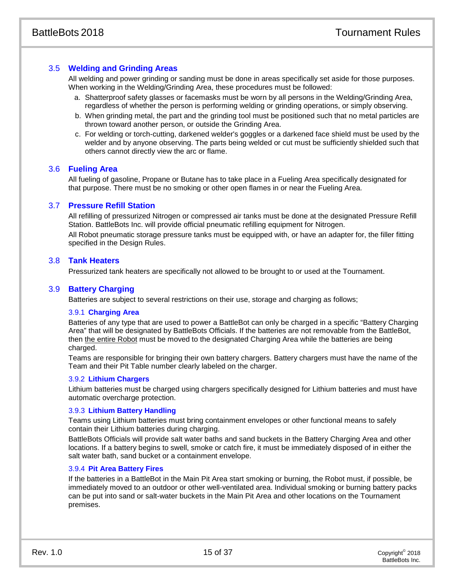# 3.5 **Welding and Grinding Areas**

All welding and power grinding or sanding must be done in areas specifically set aside for those purposes. When working in the Welding/Grinding Area, these procedures must be followed:

- a. Shatterproof safety glasses or facemasks must be worn by all persons in the Welding/Grinding Area, regardless of whether the person is performing welding or grinding operations, or simply observing.
- b. When grinding metal, the part and the grinding tool must be positioned such that no metal particles are thrown toward another person, or outside the Grinding Area.
- c. For welding or torch-cutting, darkened welder's goggles or a darkened face shield must be used by the welder and by anyone observing. The parts being welded or cut must be sufficiently shielded such that others cannot directly view the arc or flame.

# 3.6 **Fueling Area**

All fueling of gasoline, Propane or Butane has to take place in a Fueling Area specifically designated for that purpose. There must be no smoking or other open flames in or near the Fueling Area.

# <span id="page-15-0"></span>3.7 **Pressure Refill Station**

All refilling of pressurized Nitrogen or compressed air tanks must be done at the designated Pressure Refill Station. BattleBots Inc. will provide official pneumatic refilling equipment for Nitrogen.

All Robot pneumatic storage pressure tanks must be equipped with, or have an adapter for, the filler fitting specified in the Design Rules.

# 3.8 **Tank Heaters**

Pressurized tank heaters are specifically not allowed to be brought to or used at the Tournament.

# 3.9 **Battery Charging**

Batteries are subject to several restrictions on their use, storage and charging as follows;

# 3.9.1 **Charging Area**

Batteries of any type that are used to power a BattleBot can only be charged in a specific "Battery Charging Area" that will be designated by BattleBots Officials. If the batteries are not removable from the BattleBot, then the entire Robot must be moved to the designated Charging Area while the batteries are being charged.

Teams are responsible for bringing their own battery chargers. Battery chargers must have the name of the Team and their Pit Table number clearly labeled on the charger.

# 3.9.2 **Lithium Chargers**

Lithium batteries must be charged using chargers specifically designed for Lithium batteries and must have automatic overcharge protection.

# 3.9.3 **Lithium Battery Handling**

Teams using Lithium batteries must bring containment envelopes or other functional means to safely contain their Lithium batteries during charging.

BattleBots Officials will provide salt water baths and sand buckets in the Battery Charging Area and other locations. If a battery begins to swell, smoke or catch fire, it must be immediately disposed of in either the salt water bath, sand bucket or a containment envelope.

# 3.9.4 **Pit Area Battery Fires**

If the batteries in a BattleBot in the Main Pit Area start smoking or burning, the Robot must, if possible, be immediately moved to an outdoor or other well-ventilated area. Individual smoking or burning battery packs can be put into sand or salt-water buckets in the Main Pit Area and other locations on the Tournament premises.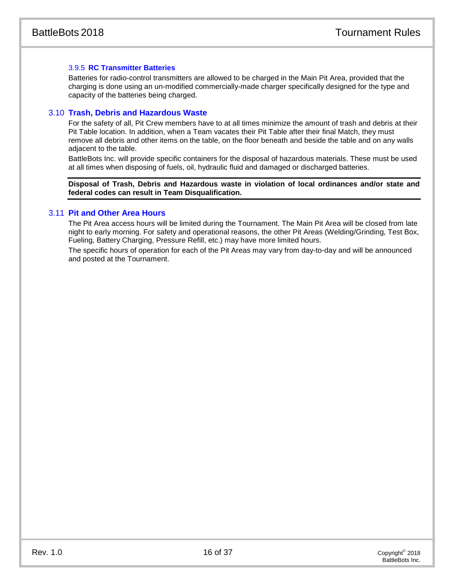# 3.9.5 **RC Transmitter Batteries**

Batteries for radio-control transmitters are allowed to be charged in the Main Pit Area, provided that the charging is done using an un-modified commercially-made charger specifically designed for the type and capacity of the batteries being charged.

# 3.10 **Trash, Debris and Hazardous Waste**

For the safety of all, Pit Crew members have to at all times minimize the amount of trash and debris at their Pit Table location. In addition, when a Team vacates their Pit Table after their final Match, they must remove all debris and other items on the table, on the floor beneath and beside the table and on any walls adjacent to the table.

BattleBots Inc. will provide specific containers for the disposal of hazardous materials. These must be used at all times when disposing of fuels, oil, hydraulic fluid and damaged or discharged batteries.

**Disposal of Trash, Debris and Hazardous waste in violation of local ordinances and/or state and federal codes can result in Team Disqualification.**

# 3.11 **Pit and Other Area Hours**

The Pit Area access hours will be limited during the Tournament. The Main Pit Area will be closed from late night to early morning. For safety and operational reasons, the other Pit Areas (Welding/Grinding, Test Box, Fueling, Battery Charging, Pressure Refill, etc.) may have more limited hours.

The specific hours of operation for each of the Pit Areas may vary from day-to-day and will be announced and posted at the Tournament.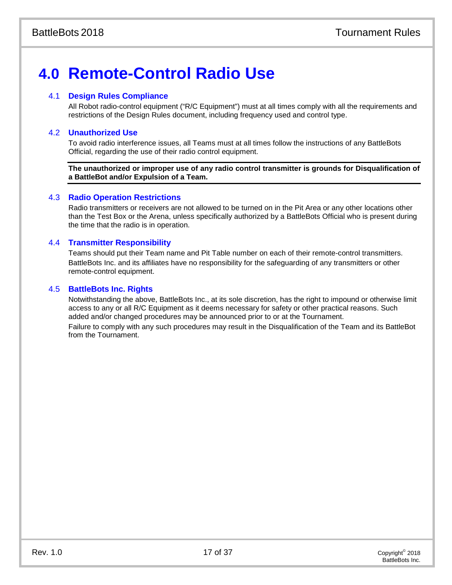# **4.0 Remote-Control Radio Use**

# 4.1 **Design Rules Compliance**

All Robot radio-control equipment ("R/C Equipment") must at all times comply with all the requirements and restrictions of the Design Rules document, including frequency used and control type.

# 4.2 **Unauthorized Use**

To avoid radio interference issues, all Teams must at all times follow the instructions of any BattleBots Official, regarding the use of their radio control equipment.

**The unauthorized or improper use of any radio control transmitter is grounds for Disqualification of a BattleBot and/or Expulsion of a Team.**

# 4.3 **Radio Operation Restrictions**

Radio transmitters or receivers are not allowed to be turned on in the Pit Area or any other locations other than the Test Box or the Arena, unless specifically authorized by a BattleBots Official who is present during the time that the radio is in operation.

# 4.4 **Transmitter Responsibility**

Teams should put their Team name and Pit Table number on each of their remote-control transmitters. BattleBots Inc. and its affiliates have no responsibility for the safeguarding of any transmitters or other remote-control equipment.

# 4.5 **BattleBots Inc. Rights**

Notwithstanding the above, BattleBots Inc., at its sole discretion, has the right to impound or otherwise limit access to any or all R/C Equipment as it deems necessary for safety or other practical reasons. Such added and/or changed procedures may be announced prior to or at the Tournament. Failure to comply with any such procedures may result in the Disqualification of the Team and its BattleBot from the Tournament.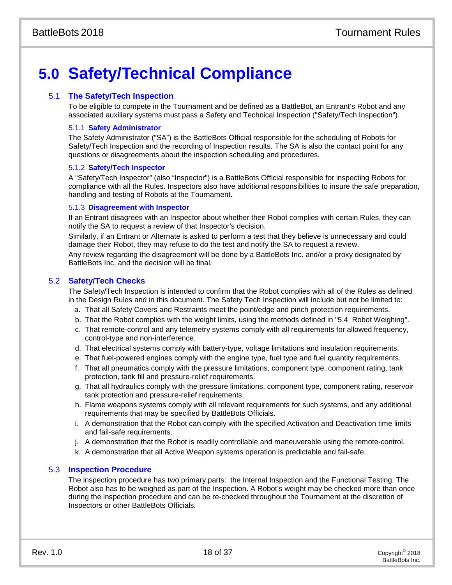# **5.0 Safety/Technical Compliance**

# 5.1 **The Safety/Tech Inspection**

To be eligible to compete in the Tournament and be defined as a BattleBot, an Entrant's Robot and any associated auxiliary systems must pass a Safety and Technical Inspection ("Safety/Tech Inspection").

# 5.1.1 **Safety Administrator**

The Safety Administrator ("SA") is the BattleBots Official responsible for the scheduling of Robots for Safety/Tech Inspection and the recording of Inspection results. The SA is also the contact point for any questions or disagreements about the inspection scheduling and procedures.

# 5.1.2 **Safety/Tech Inspector**

A "Safety/Tech Inspector" (also "Inspector") is a BattleBots Official responsible for inspecting Robots for compliance with all the Rules. Inspectors also have additional responsibilities to insure the safe preparation, handling and testing of Robots at the Tournament.

# 5.1.3 **Disagreement with Inspector**

If an Entrant disagrees with an Inspector about whether their Robot complies with certain Rules, they can notify the SA to request a review of that Inspector's decision.

Similarly, if an Entrant or Alternate is asked to perform a test that they believe is unnecessary and could damage their Robot, they may refuse to do the test and notify the SA to request a review.

Any review regarding the disagreement will be done by a BattleBots Inc. and/or a proxy designated by BattleBots Inc, and the decision will be final.

# 5.2 **Safety/Tech Checks**

The Safety/Tech Inspection is intended to confirm that the Robot complies with all of the Rules as defined in the Design Rules and in this document. The Safety Tech Inspection will include but not be limited to:

- a. That all Safety Covers and Restraints meet the point/edge and pinch protection requirements.
- b. That the Robot complies with the weight limits, using the methods defined in "5.4 Robot Weighing".
- c. That remote-control and any telemetry systems comply with all requirements for allowed frequency, control-type and non-interference.
- d. That electrical systems comply with battery-type, voltage limitations and insulation requirements.
- e. That fuel-powered engines comply with the engine type, fuel type and fuel quantity requirements.
- f. That all pneumatics comply with the pressure limitations, component type, component rating, tank protection, tank fill and pressure-relief requirements.
- g. That all hydraulics comply with the pressure limitations, component type, component rating, reservoir tank protection and pressure-relief requirements.
- h. Flame weapons systems comply with all relevant requirements for such systems, and any additional requirements that may be specified by BattleBots Officials.
- i. A demonstration that the Robot can comply with the specified Activation and Deactivation time limits and fail-safe requirements.
- j. A demonstration that the Robot is readily controllable and maneuverable using the remote-control.
- k. A demonstration that all Active Weapon systems operation is predictable and fail-safe.

# 5.3 **Inspection Procedure**

The inspection procedure has two primary parts: the Internal Inspection and the Functional Testing. The Robot also has to be weighed as part of the Inspection. A Robot's weight may be checked more than once during the inspection procedure and can be re-checked throughout the Tournament at the discretion of Inspectors or other BattleBots Officials.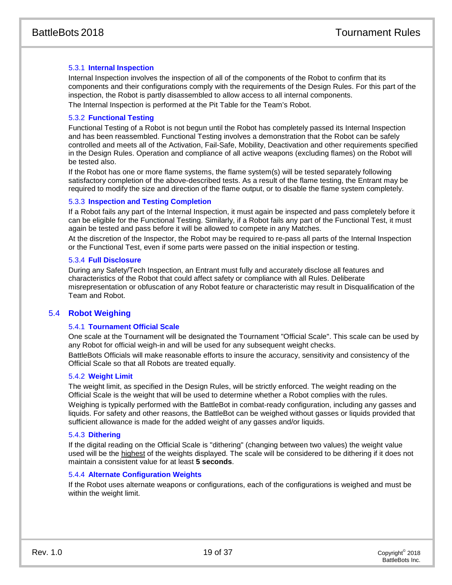# 5.3.1 **Internal Inspection**

Internal Inspection involves the inspection of all of the components of the Robot to confirm that its components and their configurations comply with the requirements of the Design Rules. For this part of the inspection, the Robot is partly disassembled to allow access to all internal components.

The Internal Inspection is performed at the Pit Table for the Team's Robot.

# 5.3.2 **Functional Testing**

Functional Testing of a Robot is not begun until the Robot has completely passed its Internal Inspection and has been reassembled. Functional Testing involves a demonstration that the Robot can be safely controlled and meets all of the Activation, Fail-Safe, Mobility, Deactivation and other requirements specified in the Design Rules. Operation and compliance of all active weapons (excluding flames) on the Robot will be tested also.

If the Robot has one or more flame systems, the flame system(s) will be tested separately following satisfactory completion of the above-described tests. As a result of the flame testing, the Entrant may be required to modify the size and direction of the flame output, or to disable the flame system completely.

# 5.3.3 **Inspection and Testing Completion**

If a Robot fails any part of the Internal Inspection, it must again be inspected and pass completely before it can be eligible for the Functional Testing. Similarly, if a Robot fails any part of the Functional Test, it must again be tested and pass before it will be allowed to compete in any Matches.

At the discretion of the Inspector, the Robot may be required to re-pass all parts of the Internal Inspection or the Functional Test, even if some parts were passed on the initial inspection or testing.

# 5.3.4 **Full Disclosure**

During any Safety/Tech Inspection, an Entrant must fully and accurately disclose all features and characteristics of the Robot that could affect safety or compliance with all Rules. Deliberate misrepresentation or obfuscation of any Robot feature or characteristic may result in Disqualification of the Team and Robot.

# 5.4 **Robot Weighing**

# 5.4.1 **Tournament Official Scale**

One scale at the Tournament will be designated the Tournament "Official Scale". This scale can be used by any Robot for official weigh-in and will be used for any subsequent weight checks.

BattleBots Officials will make reasonable efforts to insure the accuracy, sensitivity and consistency of the Official Scale so that all Robots are treated equally.

# 5.4.2 **Weight Limit**

The weight limit, as specified in the Design Rules, will be strictly enforced. The weight reading on the Official Scale is the weight that will be used to determine whether a Robot complies with the rules.

Weighing is typically performed with the BattleBot in combat-ready configuration, including any gasses and liquids. For safety and other reasons, the BattleBot can be weighed without gasses or liquids provided that sufficient allowance is made for the added weight of any gasses and/or liquids.

# 5.4.3 **Dithering**

If the digital reading on the Official Scale is "dithering" (changing between two values) the weight value used will be the highest of the weights displayed. The scale will be considered to be dithering if it does not maintain a consistent value for at least **5 seconds**.

# 5.4.4 **Alternate Configuration Weights**

If the Robot uses alternate weapons or configurations, each of the configurations is weighed and must be within the weight limit.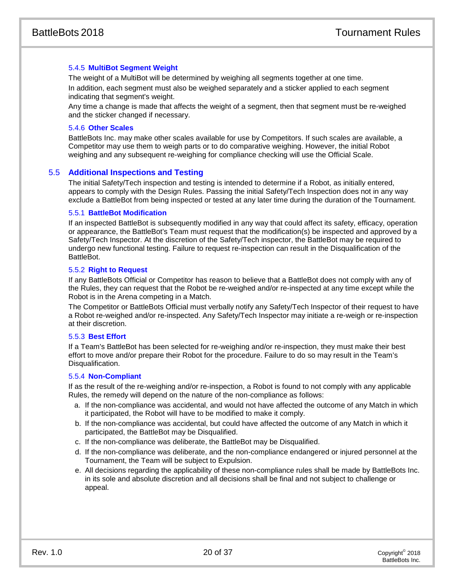# 5.4.5 **MultiBot Segment Weight**

The weight of a MultiBot will be determined by weighing all segments together at one time. In addition, each segment must also be weighed separately and a sticker applied to each segment indicating that segment's weight.

Any time a change is made that affects the weight of a segment, then that segment must be re-weighed and the sticker changed if necessary.

# 5.4.6 **Other Scales**

BattleBots Inc. may make other scales available for use by Competitors. If such scales are available, a Competitor may use them to weigh parts or to do comparative weighing. However, the initial Robot weighing and any subsequent re-weighing for compliance checking will use the Official Scale.

# 5.5 **Additional Inspections and Testing**

The initial Safety/Tech inspection and testing is intended to determine if a Robot, as initially entered, appears to comply with the Design Rules. Passing the initial Safety/Tech Inspection does not in any way exclude a BattleBot from being inspected or tested at any later time during the duration of the Tournament.

# 5.5.1 **BattleBot Modification**

If an inspected BattleBot is subsequently modified in any way that could affect its safety, efficacy, operation or appearance, the BattleBot's Team must request that the modification(s) be inspected and approved by a Safety/Tech Inspector. At the discretion of the Safety/Tech inspector, the BattleBot may be required to undergo new functional testing. Failure to request re-inspection can result in the Disqualification of the BattleBot.

# 5.5.2 **Right to Request**

If any BattleBots Official or Competitor has reason to believe that a BattleBot does not comply with any of the Rules, they can request that the Robot be re-weighed and/or re-inspected at any time except while the Robot is in the Arena competing in a Match.

The Competitor or BattleBots Official must verbally notify any Safety/Tech Inspector of their request to have a Robot re-weighed and/or re-inspected. Any Safety/Tech Inspector may initiate a re-weigh or re-inspection at their discretion.

# 5.5.3 **Best Effort**

If a Team's BattleBot has been selected for re-weighing and/or re-inspection, they must make their best effort to move and/or prepare their Robot for the procedure. Failure to do so may result in the Team's Disqualification.

# 5.5.4 **Non-Compliant**

If as the result of the re-weighing and/or re-inspection, a Robot is found to not comply with any applicable Rules, the remedy will depend on the nature of the non-compliance as follows:

- a. If the non-compliance was accidental, and would not have affected the outcome of any Match in which it participated, the Robot will have to be modified to make it comply.
- b. If the non-compliance was accidental, but could have affected the outcome of any Match in which it participated, the BattleBot may be Disqualified.
- c. If the non-compliance was deliberate, the BattleBot may be Disqualified.
- d. If the non-compliance was deliberate, and the non-compliance endangered or injured personnel at the Tournament, the Team will be subject to Expulsion.
- e. All decisions regarding the applicability of these non-compliance rules shall be made by BattleBots Inc. in its sole and absolute discretion and all decisions shall be final and not subject to challenge or appeal.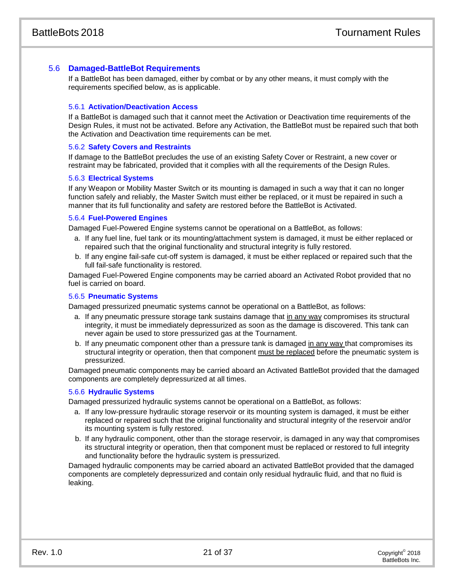# 5.6 **Damaged-BattleBot Requirements**

If a BattleBot has been damaged, either by combat or by any other means, it must comply with the requirements specified below, as is applicable.

#### 5.6.1 **Activation/Deactivation Access**

If a BattleBot is damaged such that it cannot meet the Activation or Deactivation time requirements of the Design Rules, it must not be activated. Before any Activation, the BattleBot must be repaired such that both the Activation and Deactivation time requirements can be met.

#### 5.6.2 **Safety Covers and Restraints**

If damage to the BattleBot precludes the use of an existing Safety Cover or Restraint, a new cover or restraint may be fabricated, provided that it complies with all the requirements of the Design Rules.

#### 5.6.3 **Electrical Systems**

If any Weapon or Mobility Master Switch or its mounting is damaged in such a way that it can no longer function safely and reliably, the Master Switch must either be replaced, or it must be repaired in such a manner that its full functionality and safety are restored before the BattleBot is Activated.

#### 5.6.4 **Fuel-Powered Engines**

Damaged Fuel-Powered Engine systems cannot be operational on a BattleBot, as follows:

- a. If any fuel line, fuel tank or its mounting/attachment system is damaged, it must be either replaced or repaired such that the original functionality and structural integrity is fully restored.
- b. If any engine fail-safe cut-off system is damaged, it must be either replaced or repaired such that the full fail-safe functionality is restored.

Damaged Fuel-Powered Engine components may be carried aboard an Activated Robot provided that no fuel is carried on board.

# 5.6.5 **Pneumatic Systems**

Damaged pressurized pneumatic systems cannot be operational on a BattleBot, as follows:

- a. If any pneumatic pressure storage tank sustains damage that in any way compromises its structural integrity, it must be immediately depressurized as soon as the damage is discovered. This tank can never again be used to store pressurized gas at the Tournament.
- b. If any pneumatic component other than a pressure tank is damaged in any way that compromises its structural integrity or operation, then that component must be replaced before the pneumatic system is pressurized.

Damaged pneumatic components may be carried aboard an Activated BattleBot provided that the damaged components are completely depressurized at all times.

# 5.6.6 **Hydraulic Systems**

Damaged pressurized hydraulic systems cannot be operational on a BattleBot, as follows:

- a. If any low-pressure hydraulic storage reservoir or its mounting system is damaged, it must be either replaced or repaired such that the original functionality and structural integrity of the reservoir and/or its mounting system is fully restored.
- b. If any hydraulic component, other than the storage reservoir, is damaged in any way that compromises its structural integrity or operation, then that component must be replaced or restored to full integrity and functionality before the hydraulic system is pressurized.

Damaged hydraulic components may be carried aboard an activated BattleBot provided that the damaged components are completely depressurized and contain only residual hydraulic fluid, and that no fluid is leaking.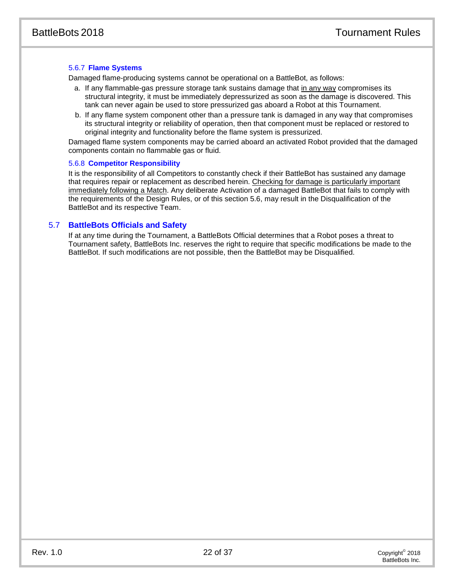# 5.6.7 **Flame Systems**

Damaged flame-producing systems cannot be operational on a BattleBot, as follows:

- a. If any flammable-gas pressure storage tank sustains damage that in any way compromises its structural integrity, it must be immediately depressurized as soon as the damage is discovered. This tank can never again be used to store pressurized gas aboard a Robot at this Tournament.
- b. If any flame system component other than a pressure tank is damaged in any way that compromises its structural integrity or reliability of operation, then that component must be replaced or restored to original integrity and functionality before the flame system is pressurized.

Damaged flame system components may be carried aboard an activated Robot provided that the damaged components contain no flammable gas or fluid.

#### 5.6.8 **Competitor Responsibility**

It is the responsibility of all Competitors to constantly check if their BattleBot has sustained any damage that requires repair or replacement as described herein. Checking for damage is particularly important immediately following a Match. Any deliberate Activation of a damaged BattleBot that fails to comply with the requirements of the Design Rules, or of this section 5.6, may result in the Disqualification of the BattleBot and its respective Team.

# 5.7 **BattleBots Officials and Safety**

If at any time during the Tournament, a BattleBots Official determines that a Robot poses a threat to Tournament safety, BattleBots Inc. reserves the right to require that specific modifications be made to the BattleBot. If such modifications are not possible, then the BattleBot may be Disqualified.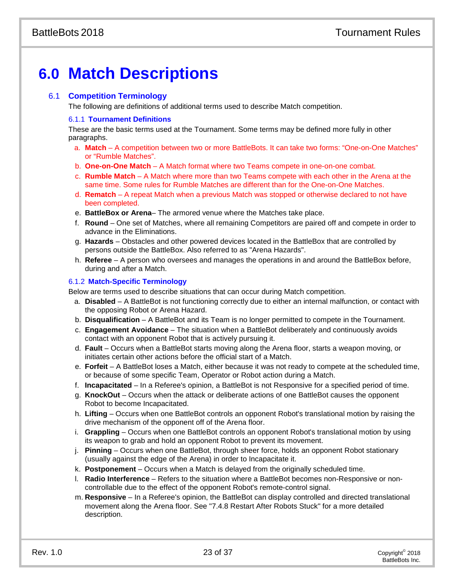# **6.0 Match Descriptions**

# 6.1 **Competition Terminology**

The following are definitions of additional terms used to describe Match competition.

# 6.1.1 **Tournament Definitions**

These are the basic terms used at the Tournament. Some terms may be defined more fully in other paragraphs.

- a. **Match**  A competition between two or more BattleBots. It can take two forms: "One-on-One Matches" or "Rumble Matches".
- b. **One-on-One Match**  A Match format where two Teams compete in one-on-one combat.
- c. **Rumble Match** A Match where more than two Teams compete with each other in the Arena at the same time. Some rules for Rumble Matches are different than for the One-on-One Matches.
- d. **Rematch**  A repeat Match when a previous Match was stopped or otherwise declared to not have been completed.
- e. **BattleBox or Arena** The armored venue where the Matches take place.
- f. **Round** One set of Matches, where all remaining Competitors are paired off and compete in order to advance in the Eliminations.
- g. **Hazards** Obstacles and other powered devices located in the BattleBox that are controlled by persons outside the BattleBox. Also referred to as "Arena Hazards".
- h. **Referee** A person who oversees and manages the operations in and around the BattleBox before, during and after a Match.

# 6.1.2 **Match-Specific Terminology**

Below are terms used to describe situations that can occur during Match competition.

- a. **Disabled** A BattleBot is not functioning correctly due to either an internal malfunction, or contact with the opposing Robot or Arena Hazard.
- b. **Disqualification** A BattleBot and its Team is no longer permitted to compete in the Tournament.
- c. **Engagement Avoidance** The situation when a BattleBot deliberately and continuously avoids contact with an opponent Robot that is actively pursuing it.
- d. **Fault** Occurs when a BattleBot starts moving along the Arena floor, starts a weapon moving, or initiates certain other actions before the official start of a Match.
- e. **Forfeit** A BattleBot loses a Match, either because it was not ready to compete at the scheduled time, or because of some specific Team, Operator or Robot action during a Match.
- f. **Incapacitated** In a Referee's opinion, a BattleBot is not Responsive for a specified period of time.
- g. **KnockOut** Occurs when the attack or deliberate actions of one BattleBot causes the opponent Robot to become Incapacitated.
- h. **Lifting** Occurs when one BattleBot controls an opponent Robot's translational motion by raising the drive mechanism of the opponent off of the Arena floor.
- i. **Grappling** Occurs when one BattleBot controls an opponent Robot's translational motion by using its weapon to grab and hold an opponent Robot to prevent its movement.
- j. **Pinning** Occurs when one BattleBot, through sheer force, holds an opponent Robot stationary (usually against the edge of the Arena) in order to Incapacitate it.
- k. **Postponement** Occurs when a Match is delayed from the originally scheduled time.
- l. **Radio Interference** Refers to the situation where a BattleBot becomes non-Responsive or noncontrollable due to the effect of the opponent Robot's remote-control signal.
- m. **Responsive** In a Referee's opinion, the BattleBot can display controlled and directed translational movement along the Arena floor. See ["7.4.8](#page-29-0) Restart After Robots Stuck" for a more detailed description.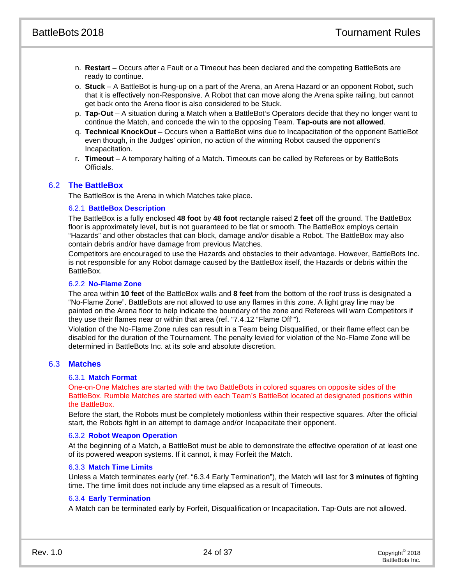- n. **Restart** Occurs after a Fault or a Timeout has been declared and the competing BattleBots are ready to continue.
- o. **Stuck** A BattleBot is hung-up on a part of the Arena, an Arena Hazard or an opponent Robot, such that it is effectively non-Responsive. A Robot that can move along the Arena spike railing, but cannot get back onto the Arena floor is also considered to be Stuck.
- p. **Tap-Out** A situation during a Match when a BattleBot's Operators decide that they no longer want to continue the Match, and concede the win to the opposing Team. **Tap-outs are not allowed**.
- q. **Technical KnockOut** Occurs when a BattleBot wins due to Incapacitation of the opponent BattleBot even though, in the Judges' opinion, no action of the winning Robot caused the opponent's Incapacitation.
- r. **Timeout** A temporary halting of a Match. Timeouts can be called by Referees or by BattleBots Officials.

# 6.2 **The BattleBox**

The BattleBox is the Arena in which Matches take place.

# 6.2.1 **BattleBox Description**

The BattleBox is a fully enclosed **48 foot** by **48 foot** rectangle raised **2 feet** off the ground. The BattleBox floor is approximately level, but is not guaranteed to be flat or smooth. The BattleBox employs certain "Hazards" and other obstacles that can block, damage and/or disable a Robot. The BattleBox may also contain debris and/or have damage from previous Matches.

Competitors are encouraged to use the Hazards and obstacles to their advantage. However, BattleBots Inc. is not responsible for any Robot damage caused by the BattleBox itself, the Hazards or debris within the BattleBox.

# 6.2.2 **No-Flame Zone**

The area within **10 feet** of the BattleBox walls and **8 feet** from the bottom of the roof truss is designated a "No-Flame Zone". BattleBots are not allowed to use any flames in this zone. A light gray line may be painted on the Arena floor to help indicate the boundary of the zone and Referees will warn Competitors if they use their flames near or within that area (ref. ["7.4.12](#page-29-1) ["Flame Off""](#page-29-1)).

Violation of the No-Flame Zone rules can result in a Team being Disqualified, or their flame effect can be disabled for the duration of the Tournament. The penalty levied for violation of the No-Flame Zone will be determined in BattleBots Inc. at its sole and absolute discretion.

# 6.3 **Matches**

# 6.3.1 **Match Format**

One-on-One Matches are started with the two BattleBots in colored squares on opposite sides of the BattleBox. Rumble Matches are started with each Team's BattleBot located at designated positions within the BattleBox.

Before the start, the Robots must be completely motionless within their respective squares. After the official start, the Robots fight in an attempt to damage and/or Incapacitate their opponent.

# 6.3.2 **Robot Weapon Operation**

At the beginning of a Match, a BattleBot must be able to demonstrate the effective operation of at least one of its powered weapon systems. If it cannot, it may Forfeit the Match.

# 6.3.3 **Match Time Limits**

Unless a Match terminates early (ref. ["6.3.4](#page-24-0) [Early Termination"](#page-24-0)), the Match will last for **3 minutes** of fighting time. The time limit does not include any time elapsed as a result of Timeouts.

# <span id="page-24-0"></span>6.3.4 **Early Termination**

A Match can be terminated early by Forfeit, Disqualification or Incapacitation. Tap-Outs are not allowed.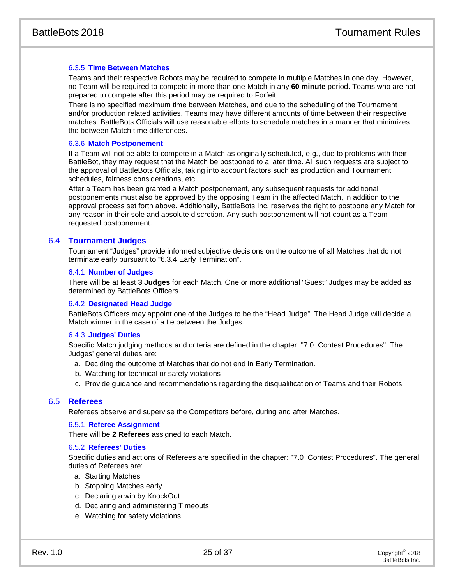# 6.3.5 **Time Between Matches**

Teams and their respective Robots may be required to compete in multiple Matches in one day. However, no Team will be required to compete in more than one Match in any **60 minute** period. Teams who are not prepared to compete after this period may be required to Forfeit.

There is no specified maximum time between Matches, and due to the scheduling of the Tournament and/or production related activities, Teams may have different amounts of time between their respective matches. BattleBots Officials will use reasonable efforts to schedule matches in a manner that minimizes the between-Match time differences.

## 6.3.6 **Match Postponement**

If a Team will not be able to compete in a Match as originally scheduled, e.g., due to problems with their BattleBot, they may request that the Match be postponed to a later time. All such requests are subject to the approval of BattleBots Officials, taking into account factors such as production and Tournament schedules, fairness considerations, etc.

After a Team has been granted a Match postponement, any subsequent requests for additional postponements must also be approved by the opposing Team in the affected Match, in addition to the approval process set forth above. Additionally, BattleBots Inc. reserves the right to postpone any Match for any reason in their sole and absolute discretion. Any such postponement will not count as a Teamrequested postponement.

# 6.4 **Tournament Judges**

Tournament "Judges" provide informed subjective decisions on the outcome of all Matches that do not terminate early pursuant to "6.3.4 Early Termination".

# 6.4.1 **Number of Judges**

There will be at least **3 Judges** for each Match. One or more additional "Guest" Judges may be added as determined by BattleBots Officers.

# <span id="page-25-0"></span>6.4.2 **Designated Head Judge**

BattleBots Officers may appoint one of the Judges to be the "Head Judge". The Head Judge will decide a Match winner in the case of a tie between the Judges.

# 6.4.3 **Judges' Duties**

Specific Match judging methods and criteria are defined in the chapter: "7.0 Contest Procedures". The Judges' general duties are:

- a. Deciding the outcome of Matches that do not end in Early Termination.
- b. Watching for technical or safety violations
- c. Provide guidance and recommendations regarding the disqualification of Teams and their Robots

# 6.5 **Referees**

Referees observe and supervise the Competitors before, during and after Matches.

#### 6.5.1 **Referee Assignment**

There will be **2 Referees** assigned to each Match.

#### 6.5.2 **Referees' Duties**

Specific duties and actions of Referees are specified in the chapter: "7.0 Contest Procedures". The general duties of Referees are:

- a. Starting Matches
- b. Stopping Matches early
- c. Declaring a win by KnockOut
- d. Declaring and administering Timeouts
- e. Watching for safety violations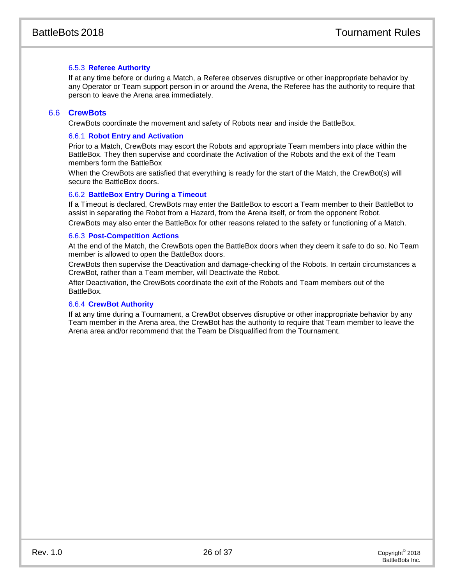# 6.5.3 **Referee Authority**

If at any time before or during a Match, a Referee observes disruptive or other inappropriate behavior by any Operator or Team support person in or around the Arena, the Referee has the authority to require that person to leave the Arena area immediately.

# 6.6 **CrewBots**

CrewBots coordinate the movement and safety of Robots near and inside the BattleBox.

# 6.6.1 **Robot Entry and Activation**

Prior to a Match, CrewBots may escort the Robots and appropriate Team members into place within the BattleBox. They then supervise and coordinate the Activation of the Robots and the exit of the Team members form the BattleBox

When the CrewBots are satisfied that everything is ready for the start of the Match, the CrewBot(s) will secure the BattleBox doors.

# 6.6.2 **BattleBox Entry During a Timeout**

If a Timeout is declared, CrewBots may enter the BattleBox to escort a Team member to their BattleBot to assist in separating the Robot from a Hazard, from the Arena itself, or from the opponent Robot. CrewBots may also enter the BattleBox for other reasons related to the safety or functioning of a Match.

# 6.6.3 **Post-Competition Actions**

At the end of the Match, the CrewBots open the BattleBox doors when they deem it safe to do so. No Team member is allowed to open the BattleBox doors.

CrewBots then supervise the Deactivation and damage-checking of the Robots. In certain circumstances a CrewBot, rather than a Team member, will Deactivate the Robot.

After Deactivation, the CrewBots coordinate the exit of the Robots and Team members out of the **BattleBox** 

# 6.6.4 **CrewBot Authority**

If at any time during a Tournament, a CrewBot observes disruptive or other inappropriate behavior by any Team member in the Arena area, the CrewBot has the authority to require that Team member to leave the Arena area and/or recommend that the Team be Disqualified from the Tournament.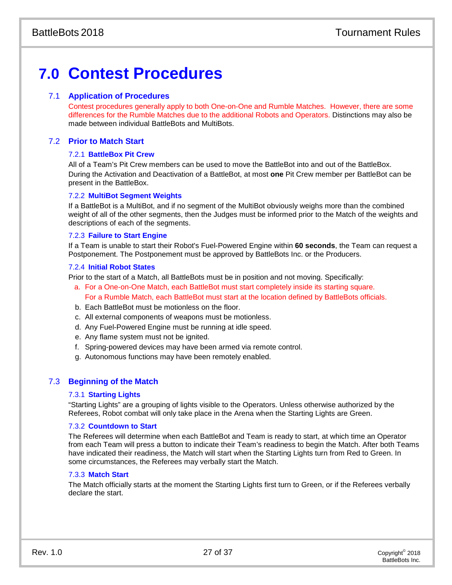# **7.0 Contest Procedures**

# 7.1 **Application of Procedures**

Contest procedures generally apply to both One-on-One and Rumble Matches. However, there are some differences for the Rumble Matches due to the additional Robots and Operators. Distinctions may also be made between individual BattleBots and MultiBots.

# 7.2 **Prior to Match Start**

# 7.2.1 **BattleBox Pit Crew**

All of a Team's Pit Crew members can be used to move the BattleBot into and out of the BattleBox. During the Activation and Deactivation of a BattleBot, at most **one** Pit Crew member per BattleBot can be present in the BattleBox.

# 7.2.2 **MultiBot Segment Weights**

If a BattleBot is a MultiBot, and if no segment of the MultiBot obviously weighs more than the combined weight of all of the other segments, then the Judges must be informed prior to the Match of the weights and descriptions of each of the segments.

# 7.2.3 **Failure to Start Engine**

If a Team is unable to start their Robot's Fuel-Powered Engine within **60 seconds**, the Team can request a Postponement. The Postponement must be approved by BattleBots Inc. or the Producers.

# 7.2.4 **Initial Robot States**

Prior to the start of a Match, all BattleBots must be in position and not moving. Specifically:

- a. For a One-on-One Match, each BattleBot must start completely inside its starting square. For a Rumble Match, each BattleBot must start at the location defined by BattleBots officials.
- b. Each BattleBot must be motionless on the floor.
- c. All external components of weapons must be motionless.
- d. Any Fuel-Powered Engine must be running at idle speed.
- e. Any flame system must not be ignited.
- f. Spring-powered devices may have been armed via remote control.
- g. Autonomous functions may have been remotely enabled.

# 7.3 **Beginning of the Match**

# 7.3.1 **Starting Lights**

"Starting Lights" are a grouping of lights visible to the Operators. Unless otherwise authorized by the Referees, Robot combat will only take place in the Arena when the Starting Lights are Green.

# 7.3.2 **Countdown to Start**

The Referees will determine when each BattleBot and Team is ready to start, at which time an Operator from each Team will press a button to indicate their Team's readiness to begin the Match. After both Teams have indicated their readiness, the Match will start when the Starting Lights turn from Red to Green. In some circumstances, the Referees may verbally start the Match.

# 7.3.3 **Match Start**

The Match officially starts at the moment the Starting Lights first turn to Green, or if the Referees verbally declare the start.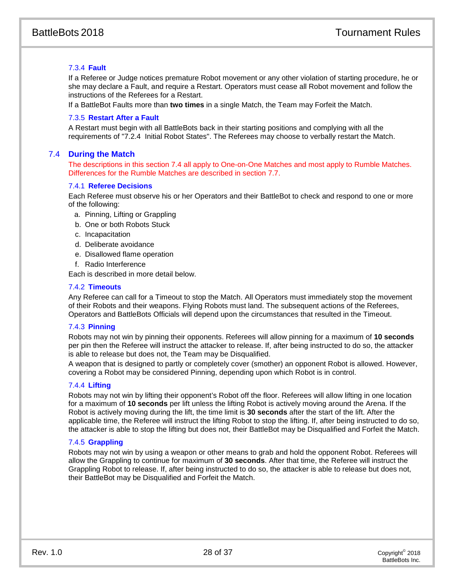# 7.3.4 **Fault**

If a Referee or Judge notices premature Robot movement or any other violation of starting procedure, he or she may declare a Fault, and require a Restart. Operators must cease all Robot movement and follow the instructions of the Referees for a Restart.

If a BattleBot Faults more than **two times** in a single Match, the Team may Forfeit the Match.

# 7.3.5 **Restart After a Fault**

A Restart must begin with all BattleBots back in their starting positions and complying with all the requirements of "7.2.4 Initial Robot States". The Referees may choose to verbally restart the Match.

# 7.4 **During the Match**

The descriptions in this section 7.4 all apply to One-on-One Matches and most apply to Rumble Matches. Differences for the Rumble Matches are described in section 7.7.

# 7.4.1 **Referee Decisions**

Each Referee must observe his or her Operators and their BattleBot to check and respond to one or more of the following:

- a. Pinning, Lifting or Grappling
- b. One or both Robots Stuck
- c. Incapacitation
- d. Deliberate avoidance
- e. Disallowed flame operation
- f. Radio Interference

Each is described in more detail below.

# 7.4.2 **Timeouts**

Any Referee can call for a Timeout to stop the Match. All Operators must immediately stop the movement of their Robots and their weapons. Flying Robots must land. The subsequent actions of the Referees, Operators and BattleBots Officials will depend upon the circumstances that resulted in the Timeout.

# 7.4.3 **Pinning**

Robots may not win by pinning their opponents. Referees will allow pinning for a maximum of **10 seconds** per pin then the Referee will instruct the attacker to release. If, after being instructed to do so, the attacker is able to release but does not, the Team may be Disqualified.

A weapon that is designed to partly or completely cover (smother) an opponent Robot is allowed. However, covering a Robot may be considered Pinning, depending upon which Robot is in control.

# 7.4.4 **Lifting**

Robots may not win by lifting their opponent's Robot off the floor. Referees will allow lifting in one location for a maximum of **10 seconds** per lift unless the lifting Robot is actively moving around the Arena. If the Robot is actively moving during the lift, the time limit is **30 seconds** after the start of the lift. After the applicable time, the Referee will instruct the lifting Robot to stop the lifting. If, after being instructed to do so, the attacker is able to stop the lifting but does not, their BattleBot may be Disqualified and Forfeit the Match.

# 7.4.5 **Grappling**

Robots may not win by using a weapon or other means to grab and hold the opponent Robot. Referees will allow the Grappling to continue for maximum of **30 seconds**. After that time, the Referee will instruct the Grappling Robot to release. If, after being instructed to do so, the attacker is able to release but does not, their BattleBot may be Disqualified and Forfeit the Match.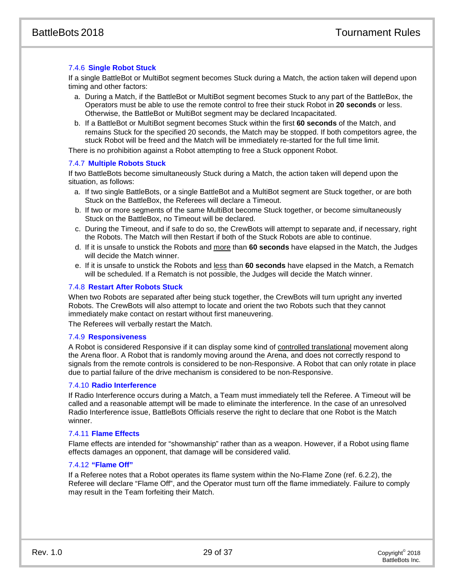# 7.4.6 **Single Robot Stuck**

If a single BattleBot or MultiBot segment becomes Stuck during a Match, the action taken will depend upon timing and other factors:

- a. During a Match, if the BattleBot or MultiBot segment becomes Stuck to any part of the BattleBox, the Operators must be able to use the remote control to free their stuck Robot in **20 seconds** or less. Otherwise, the BattleBot or MultiBot segment may be declared Incapacitated.
- b. If a BattleBot or MultiBot segment becomes Stuck within the first **60 seconds** of the Match, and remains Stuck for the specified 20 seconds, the Match may be stopped. If both competitors agree, the stuck Robot will be freed and the Match will be immediately re-started for the full time limit.

There is no prohibition against a Robot attempting to free a Stuck opponent Robot.

# 7.4.7 **Multiple Robots Stuck**

If two BattleBots become simultaneously Stuck during a Match, the action taken will depend upon the situation, as follows:

- a. If two single BattleBots, or a single BattleBot and a MultiBot segment are Stuck together, or are both Stuck on the BattleBox, the Referees will declare a Timeout.
- b. If two or more segments of the same MultiBot become Stuck together, or become simultaneously Stuck on the BattleBox, no Timeout will be declared.
- c. During the Timeout, and if safe to do so, the CrewBots will attempt to separate and, if necessary, right the Robots. The Match will then Restart if both of the Stuck Robots are able to continue.
- d. If it is unsafe to unstick the Robots and more than **60 seconds** have elapsed in the Match, the Judges will decide the Match winner.
- e. If it is unsafe to unstick the Robots and less than **60 seconds** have elapsed in the Match, a Rematch will be scheduled. If a Rematch is not possible, the Judges will decide the Match winner.

# <span id="page-29-0"></span>7.4.8 **Restart After Robots Stuck**

When two Robots are separated after being stuck together, the CrewBots will turn upright any inverted Robots. The CrewBots will also attempt to locate and orient the two Robots such that they cannot immediately make contact on restart without first maneuvering.

The Referees will verbally restart the Match.

#### 7.4.9 **Responsiveness**

A Robot is considered Responsive if it can display some kind of controlled translational movement along the Arena floor. A Robot that is randomly moving around the Arena, and does not correctly respond to signals from the remote controls is considered to be non-Responsive. A Robot that can only rotate in place due to partial failure of the drive mechanism is considered to be non-Responsive.

# 7.4.10 **Radio Interference**

If Radio Interference occurs during a Match, a Team must immediately tell the Referee. A Timeout will be called and a reasonable attempt will be made to eliminate the interference. In the case of an unresolved Radio Interference issue, BattleBots Officials reserve the right to declare that one Robot is the Match winner.

# 7.4.11 **Flame Effects**

Flame effects are intended for "showmanship" rather than as a weapon. However, if a Robot using flame effects damages an opponent, that damage will be considered valid.

# <span id="page-29-1"></span>7.4.12 **"Flame Off"**

If a Referee notes that a Robot operates its flame system within the No-Flame Zone (ref. 6.2.2), the Referee will declare "Flame Off", and the Operator must turn off the flame immediately. Failure to comply may result in the Team forfeiting their Match.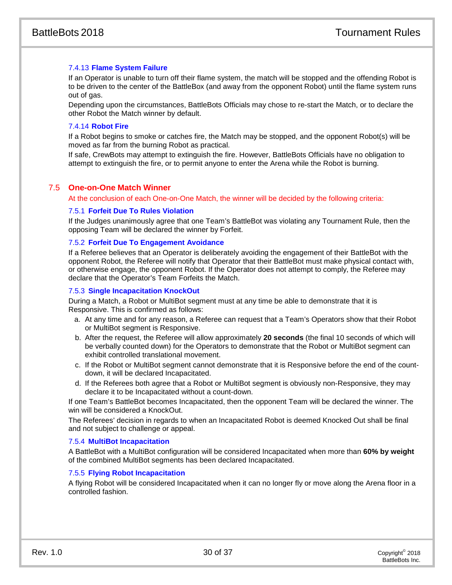# 7.4.13 **Flame System Failure**

If an Operator is unable to turn off their flame system, the match will be stopped and the offending Robot is to be driven to the center of the BattleBox (and away from the opponent Robot) until the flame system runs out of gas.

Depending upon the circumstances, BattleBots Officials may chose to re-start the Match, or to declare the other Robot the Match winner by default.

# 7.4.14 **Robot Fire**

If a Robot begins to smoke or catches fire, the Match may be stopped, and the opponent Robot(s) will be moved as far from the burning Robot as practical.

If safe, CrewBots may attempt to extinguish the fire. However, BattleBots Officials have no obligation to attempt to extinguish the fire, or to permit anyone to enter the Arena while the Robot is burning.

# 7.5 **One-on-One Match Winner**

At the conclusion of each One-on-One Match, the winner will be decided by the following criteria:

# 7.5.1 **Forfeit Due To Rules Violation**

If the Judges unanimously agree that one Team's BattleBot was violating any Tournament Rule, then the opposing Team will be declared the winner by Forfeit.

# 7.5.2 **Forfeit Due To Engagement Avoidance**

If a Referee believes that an Operator is deliberately avoiding the engagement of their BattleBot with the opponent Robot, the Referee will notify that Operator that their BattleBot must make physical contact with, or otherwise engage, the opponent Robot. If the Operator does not attempt to comply, the Referee may declare that the Operator's Team Forfeits the Match.

# 7.5.3 **Single Incapacitation KnockOut**

During a Match, a Robot or MultiBot segment must at any time be able to demonstrate that it is Responsive. This is confirmed as follows:

- a. At any time and for any reason, a Referee can request that a Team's Operators show that their Robot or MultiBot segment is Responsive.
- b. After the request, the Referee will allow approximately **20 seconds** (the final 10 seconds of which will be verbally counted down) for the Operators to demonstrate that the Robot or MultiBot segment can exhibit controlled translational movement.
- c. If the Robot or MultiBot segment cannot demonstrate that it is Responsive before the end of the countdown, it will be declared Incapacitated.
- d. If the Referees both agree that a Robot or MultiBot segment is obviously non-Responsive, they may declare it to be Incapacitated without a count-down.

If one Team's BattleBot becomes Incapacitated, then the opponent Team will be declared the winner. The win will be considered a KnockOut.

The Referees' decision in regards to when an Incapacitated Robot is deemed Knocked Out shall be final and not subject to challenge or appeal.

# 7.5.4 **MultiBot Incapacitation**

A BattleBot with a MultiBot configuration will be considered Incapacitated when more than **60% by weight** of the combined MultiBot segments has been declared Incapacitated.

# 7.5.5 **Flying Robot Incapacitation**

A flying Robot will be considered Incapacitated when it can no longer fly or move along the Arena floor in a controlled fashion.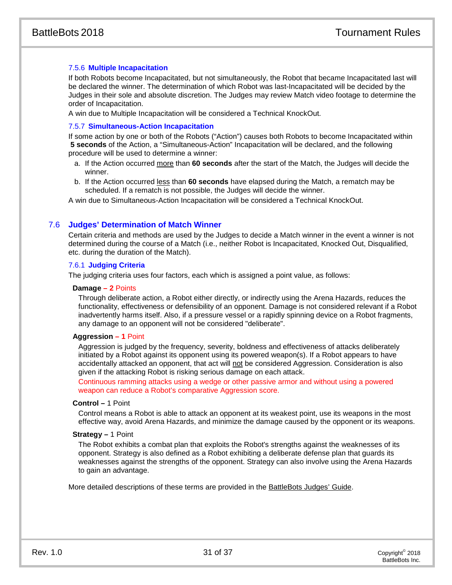# 7.5.6 **Multiple Incapacitation**

If both Robots become Incapacitated, but not simultaneously, the Robot that became Incapacitated last will be declared the winner. The determination of which Robot was last-Incapacitated will be decided by the Judges in their sole and absolute discretion. The Judges may review Match video footage to determine the order of Incapacitation.

A win due to Multiple Incapacitation will be considered a Technical KnockOut.

# 7.5.7 **Simultaneous-Action Incapacitation**

If some action by one or both of the Robots ("Action") causes both Robots to become Incapacitated within **5 seconds** of the Action, a "Simultaneous-Action" Incapacitation will be declared, and the following procedure will be used to determine a winner:

- a. If the Action occurred more than **60 seconds** after the start of the Match, the Judges will decide the winner.
- b. If the Action occurred less than **60 seconds** have elapsed during the Match, a rematch may be scheduled. If a rematch is not possible, the Judges will decide the winner.

A win due to Simultaneous-Action Incapacitation will be considered a Technical KnockOut.

# 7.6 **Judges' Determination of Match Winner**

Certain criteria and methods are used by the Judges to decide a Match winner in the event a winner is not determined during the course of a Match (i.e., neither Robot is Incapacitated, Knocked Out, Disqualified, etc. during the duration of the Match).

# 7.6.1 **Judging Criteria**

The judging criteria uses four factors, each which is assigned a point value, as follows:

#### **Damage – 2** Points

Through deliberate action, a Robot either directly, or indirectly using the Arena Hazards, reduces the functionality, effectiveness or defensibility of an opponent. Damage is not considered relevant if a Robot inadvertently harms itself. Also, if a pressure vessel or a rapidly spinning device on a Robot fragments, any damage to an opponent will not be considered "deliberate".

# **Aggression – 1** Point

Aggression is judged by the frequency, severity, boldness and effectiveness of attacks deliberately initiated by a Robot against its opponent using its powered weapon(s). If a Robot appears to have accidentally attacked an opponent, that act will not be considered Aggression. Consideration is also given if the attacking Robot is risking serious damage on each attack.

Continuous ramming attacks using a wedge or other passive armor and without using a powered weapon can reduce a Robot's comparative Aggression score.

#### **Control –** 1 Point

Control means a Robot is able to attack an opponent at its weakest point, use its weapons in the most effective way, avoid Arena Hazards, and minimize the damage caused by the opponent or its weapons.

#### **Strategy –** 1 Point

The Robot exhibits a combat plan that exploits the Robot's strengths against the weaknesses of its opponent. Strategy is also defined as a Robot exhibiting a deliberate defense plan that guards its weaknesses against the strengths of the opponent. Strategy can also involve using the Arena Hazards to gain an advantage.

More detailed descriptions of these terms are provided in the BattleBots Judges' Guide.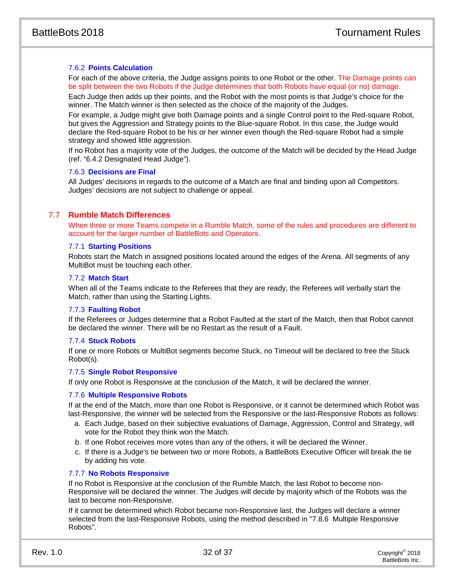# 7.6.2 **Points Calculation**

For each of the above criteria, the Judge assigns points to one Robot or the other. The Damage points can be split between the two Robots if the Judge determines that both Robots have equal (or no) damage.

Each Judge then adds up their points, and the Robot with the most points is that Judge's choice for the winner. The Match winner is then selected as the choice of the majority of the Judges.

For example, a Judge might give both Damage points and a single Control point to the Red-square Robot, but gives the Aggression and Strategy points to the Blue-square Robot. In this case, the Judge would declare the Red-square Robot to be his or her winner even though the Red-square Robot had a simple strategy and showed little aggression.

If no Robot has a majority vote of the Judges, the outcome of the Match will be decided by the Head Judge (ref. ["6.4.2](#page-25-0) [Designated Head Judge"](#page-25-0)).

# 7.6.3 **Decisions are Final**

All Judges' decisions in regards to the outcome of a Match are final and binding upon all Competitors. Judges' decisions are not subject to challenge or appeal.

# 7.7 **Rumble Match Differences**

When three or more Teams compete in a Rumble Match, some of the rules and procedures are different to account for the larger number of BattleBots and Operators.

# 7.7.1 **Starting Positions**

Robots start the Match in assigned positions located around the edges of the Arena. All segments of any MultiBot must be touching each other.

# 7.7.2 **Match Start**

When all of the Teams indicate to the Referees that they are ready, the Referees will verbally start the Match, rather than using the Starting Lights.

# 7.7.3 **Faulting Robot**

If the Referees or Judges determine that a Robot Faulted at the start of the Match, then that Robot cannot be declared the winner. There will be no Restart as the result of a Fault.

# 7.7.4 **Stuck Robots**

If one or more Robots or MultiBot segments become Stuck, no Timeout will be declared to free the Stuck Robot(s).

# 7.7.5 **Single Robot Responsive**

If only one Robot is Responsive at the conclusion of the Match, it will be declared the winner.

# 7.7.6 **Multiple Responsive Robots**

If at the end of the Match, more than one Robot is Responsive, or it cannot be determined which Robot was last-Responsive, the winner will be selected from the Responsive or the last-Responsive Robots as follows:

- a. Each Judge, based on their subjective evaluations of Damage, Aggression, Control and Strategy, will vote for the Robot they think won the Match.
- b. If one Robot receives more votes than any of the others, it will be declared the Winner.
- c. If there is a Judge's tie between two or more Robots, a BattleBots Executive Officer will break the tie by adding his vote.

# 7.7.7 **No Robots Responsive**

If no Robot is Responsive at the conclusion of the Rumble Match, the last Robot to become non-Responsive will be declared the winner. The Judges will decide by majority which of the Robots was the last to become non-Responsive.

If it cannot be determined which Robot became non-Responsive last, the Judges will declare a winner selected from the last-Responsive Robots, using the method described in "7.8.6 Multiple Responsive Robots".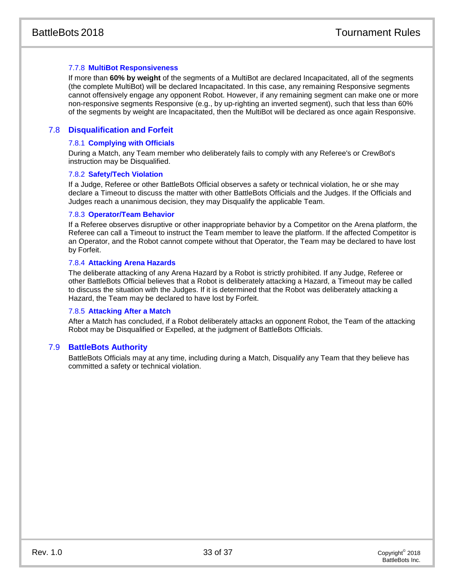# 7.7.8 **MultiBot Responsiveness**

If more than **60% by weight** of the segments of a MultiBot are declared Incapacitated, all of the segments (the complete MultiBot) will be declared Incapacitated. In this case, any remaining Responsive segments cannot offensively engage any opponent Robot. However, if any remaining segment can make one or more non-responsive segments Responsive (e.g., by up-righting an inverted segment), such that less than 60% of the segments by weight are Incapacitated, then the MultiBot will be declared as once again Responsive.

# 7.8 **Disqualification and Forfeit**

# 7.8.1 **Complying with Officials**

During a Match, any Team member who deliberately fails to comply with any Referee's or CrewBot's instruction may be Disqualified.

# 7.8.2 **Safety/Tech Violation**

If a Judge, Referee or other BattleBots Official observes a safety or technical violation, he or she may declare a Timeout to discuss the matter with other BattleBots Officials and the Judges. If the Officials and Judges reach a unanimous decision, they may Disqualify the applicable Team.

# 7.8.3 **Operator/Team Behavior**

If a Referee observes disruptive or other inappropriate behavior by a Competitor on the Arena platform, the Referee can call a Timeout to instruct the Team member to leave the platform. If the affected Competitor is an Operator, and the Robot cannot compete without that Operator, the Team may be declared to have lost by Forfeit.

# 7.8.4 **Attacking Arena Hazards**

The deliberate attacking of any Arena Hazard by a Robot is strictly prohibited. If any Judge, Referee or other BattleBots Official believes that a Robot is deliberately attacking a Hazard, a Timeout may be called to discuss the situation with the Judges. If it is determined that the Robot was deliberately attacking a Hazard, the Team may be declared to have lost by Forfeit.

# 7.8.5 **Attacking After a Match**

After a Match has concluded, if a Robot deliberately attacks an opponent Robot, the Team of the attacking Robot may be Disqualified or Expelled, at the judgment of BattleBots Officials.

# 7.9 **BattleBots Authority**

BattleBots Officials may at any time, including during a Match, Disqualify any Team that they believe has committed a safety or technical violation.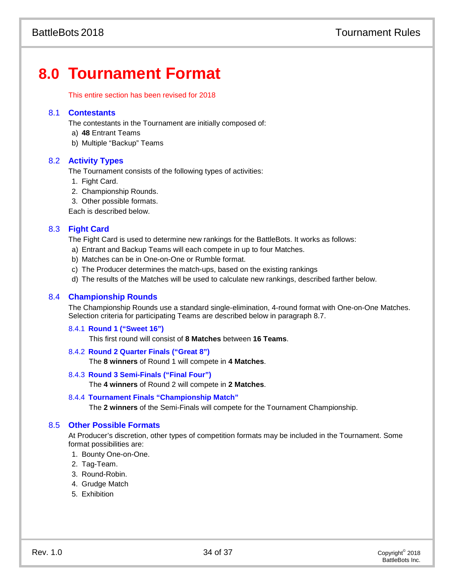# **8.0 Tournament Format**

This entire section has been revised for 2018

# 8.1 **Contestants**

The contestants in the Tournament are initially composed of:

- a) **48** Entrant Teams
- b) Multiple "Backup" Teams

# 8.2 **Activity Types**

The Tournament consists of the following types of activities:

- 1. Fight Card.
- 2. Championship Rounds.

3. Other possible formats.

Each is described below.

# 8.3 **Fight Card**

The Fight Card is used to determine new rankings for the BattleBots. It works as follows:

- a) Entrant and Backup Teams will each compete in up to four Matches.
- b) Matches can be in One-on-One or Rumble format.
- c) The Producer determines the match-ups, based on the existing rankings
- d) The results of the Matches will be used to calculate new rankings, described farther below.

# 8.4 **Championship Rounds**

The Championship Rounds use a standard single-elimination, 4-round format with One-on-One Matches. Selection criteria for participating Teams are described below in paragraph 8.7.

# 8.4.1 **Round 1 ("Sweet 16")**

This first round will consist of **8 Matches** between **16 Teams**.

# 8.4.2 **Round 2 Quarter Finals ("Great 8")**

The **8 winners** of Round 1 will compete in **4 Matches**.

# 8.4.3 **Round 3 Semi-Finals ("Final Four")**

The **4 winners** of Round 2 will compete in **2 Matches**.

# 8.4.4 **Tournament Finals "Championship Match"**

The **2 winners** of the Semi-Finals will compete for the Tournament Championship.

# 8.5 **Other Possible Formats**

At Producer's discretion, other types of competition formats may be included in the Tournament. Some format possibilities are:

- 1. Bounty One-on-One.
- 2. Tag-Team.
- 3. Round-Robin.
- 4. Grudge Match
- 5. Exhibition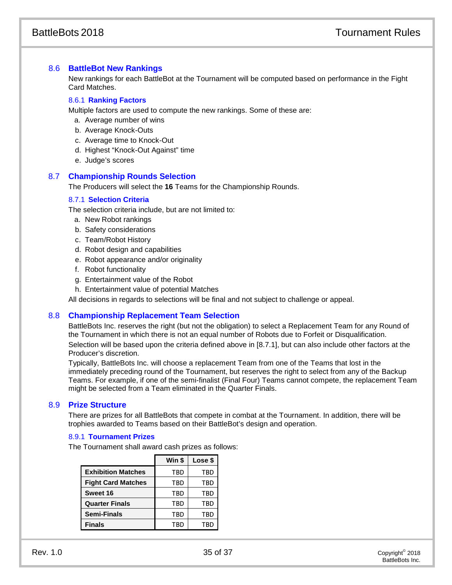# 8.6 **BattleBot New Rankings**

New rankings for each BattleBot at the Tournament will be computed based on performance in the Fight Card Matches.

# 8.6.1 **Ranking Factors**

Multiple factors are used to compute the new rankings. Some of these are:

- a. Average number of wins
- b. Average Knock-Outs
- c. Average time to Knock-Out
- d. Highest "Knock-Out Against" time
- e. Judge's scores

# 8.7 **Championship Rounds Selection**

The Producers will select the **16** Teams for the Championship Rounds.

# 8.7.1 **Selection Criteria**

The selection criteria include, but are not limited to:

- a. New Robot rankings
- b. Safety considerations
- c. Team/Robot History
- d. Robot design and capabilities
- e. Robot appearance and/or originality
- f. Robot functionality
- g. Entertainment value of the Robot
- h. Entertainment value of potential Matches

All decisions in regards to selections will be final and not subject to challenge or appeal.

# 8.8 **Championship Replacement Team Selection**

BattleBots Inc. reserves the right (but not the obligation) to select a Replacement Team for any Round of the Tournament in which there is not an equal number of Robots due to Forfeit or Disqualification. Selection will be based upon the criteria defined above in [8.7.1], but can also include other factors at the Producer's discretion.

Typically, BattleBots Inc. will choose a replacement Team from one of the Teams that lost in the immediately preceding round of the Tournament, but reserves the right to select from any of the Backup Teams. For example, if one of the semi-finalist (Final Four) Teams cannot compete, the replacement Team might be selected from a Team eliminated in the Quarter Finals.

# 8.9 **Prize Structure**

There are prizes for all BattleBots that compete in combat at the Tournament. In addition, there will be trophies awarded to Teams based on their BattleBot's design and operation.

# 8.9.1 **Tournament Prizes**

The Tournament shall award cash prizes as follows:

|                           | Win \$     | Lose \$    |
|---------------------------|------------|------------|
| <b>Exhibition Matches</b> | TBD        | <b>TBD</b> |
| <b>Fight Card Matches</b> | TBD        | <b>TBD</b> |
| Sweet 16                  | TBD        | <b>TBD</b> |
| <b>Quarter Finals</b>     | TBD        | TBD        |
| <b>Semi-Finals</b>        | <b>TBD</b> | TBD        |
| <b>Finals</b>             | TBD        | TBD        |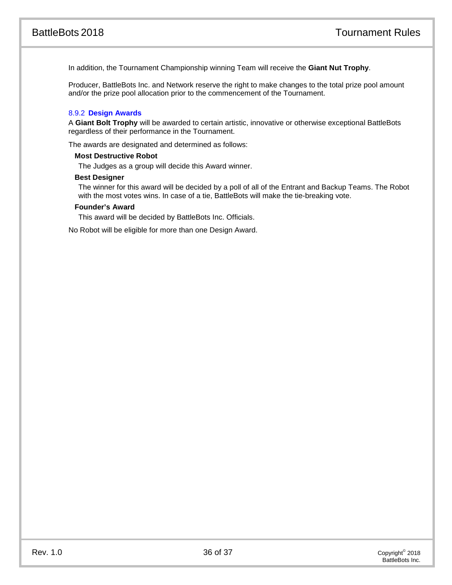In addition, the Tournament Championship winning Team will receive the **Giant Nut Trophy**.

Producer, BattleBots Inc. and Network reserve the right to make changes to the total prize pool amount and/or the prize pool allocation prior to the commencement of the Tournament.

# 8.9.2 **Design Awards**

A **Giant Bolt Trophy** will be awarded to certain artistic, innovative or otherwise exceptional BattleBots regardless of their performance in the Tournament.

The awards are designated and determined as follows:

#### **Most Destructive Robot**

The Judges as a group will decide this Award winner.

#### **Best Designer**

The winner for this award will be decided by a poll of all of the Entrant and Backup Teams. The Robot with the most votes wins. In case of a tie, BattleBots will make the tie-breaking vote.

# **Founder's Award**

This award will be decided by BattleBots Inc. Officials.

No Robot will be eligible for more than one Design Award.